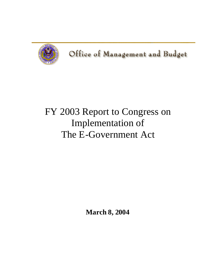

Office of Management and Budget

# FY 2003 Report to Congress on Implementation of The E-Government Act

**March 8, 2004**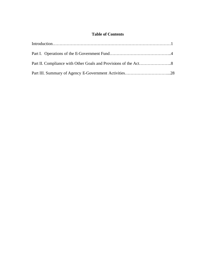# **Table of Contents**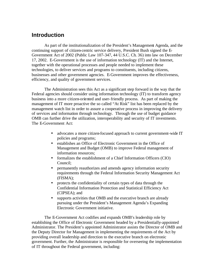# **Introduction**

As part of the institutionalization of the President's Management Agenda, and the continuing support of citizen-centric service delivery, President Bush signed the E-Government Act of 2002 (Public Law 107-347, 44 U.S.C. Ch. 36) into law on December 17, 2002. E-Government is the use of information technology (IT) and the Internet, together with the operational processes and people needed to implement these technologies, to deliver services and programs to constituents, including citizens, businesses and other government agencies. E-Government improves the effectiveness, efficiency, and quality of government services.

The Administration sees this Act as a significant step forward in the way that the Federal agencies should consider using information technology (IT) to transform agency business into a more citizen-oriented and user-friendly process. As part of making the management of IT more proactive the so called "At Risk" list has been replaced by the management watch list in order to assure a cooperative process in improving the delivery of services and information through technology. Through the use of budget guidance OMB can further drive the utilization, interoperability and security of IT investments. The E-Government Act:

- advocates a more citizen-focused approach to current government-wide IT policies and programs;
- establishes an Office of Electronic Government in the Office of Management and Budget (OMB) to improve Federal management of information resources;
- formalizes the establishment of a Chief Information Officers (CIO) Council;
- permanently reauthorizes and amends agency information security requirements through the Federal Information Security Management Act (FISMA);
- protects the confidentiality of certain types of data through the Confidential Information Protection and Statistical Efficiency Act (CIPSEA); and
- supports activities that OMB and the executive branch are already pursuing under the President's Management Agenda's Expanding Electronic Government initiative.

The E-Government Act codifies and expands OMB's leadership role by establishing the Office of Electronic Government headed by a Presidentially-appointed Administrator. The President's appointed Administrator assists the Director of OMB and the Deputy Director for Management in implementing the requirements of the Act by providing overall leadership and direction to the executive branch on electronic government. Further, the Administrator is responsible for overseeing the implementation of IT throughout the Federal government, including: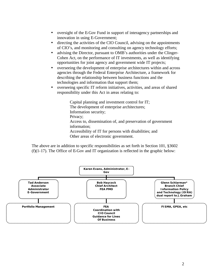- oversight of the E-Gov Fund in support of interagency partnerships and innovation in using E-Government;
- directing the activities of the CIO Council, advising on the appointments of CIO's, and monitoring and consulting on agency technology efforts;
- advising the Director, pursuant to OMB's authorities under the Clinger-Cohen Act, on the performance of IT investments, as well as identifying opportunities for joint agency and government wide IT projects;
- overseeing the development of enterprise architectures within and across agencies through the Federal Enterprise Architecture, a framework for describing the relationship between business functions and the technologies and information that support them;
- overseeing specific IT reform initiatives, activities, and areas of shared responsibility under this Act in areas relating to:

Capital planning and investment control for IT; The development of enterprise architectures; Information security; Privacy; Access to, dissemination of, and preservation of government information; Accessibility of IT for persons with disabilities; and Other areas of electronic government.

The above are in addition to specific responsibilities as set forth in Section 101, §3602 (f)(1-17). The Office of E-Gov and IT organization is reflected in the graphic below:

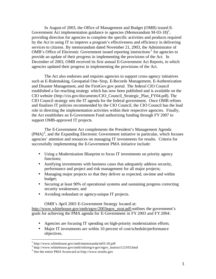In August of 2003, the Office of Management and Budget (OMB) issued E-Government Act implementation guidance to agencies (Memorandum  $M-03-18$ )<sup>1</sup>, providing direction for agencies to complete the specific activities and products required by the Act in using IT to improve a program's effectiveness and efficiency in delivering services to citizens. By memorandum dated November 21, 2003, the Administrator of OMB's Office of Electronic Government issued reporting instructions<sup>2</sup> for agencies to provide an update of their progress in implementing the provisions of the Act. In December of 2003, OMB received its first annual E-Government Act Reports, in which agencies updated their progress in implementing the provisions of the Act.

The Act also endorses and requires agencies to support cross-agency initiatives such as E-Rulemaking, Geospatial One-Stop, E-Records Management, E-Authentication and Disaster Management, and the FirstGov.gov portal. The federal CIO Council established a far-reaching strategy which has now been published and is available on the CIO website (http://cio.gov/documents/CIO\_Council\_Strategic\_Plan\_FY04.pdf). The CIO Council strategy sets the IT agenda for the federal government. Once OMB refines and finalizes IT policies recommended by the CIO Council, the CIO Council has the lead role in directing the implementation activities within their respective agencies. Finally, the Act establishes an E-Government Fund authorizing funding through FY 2007 to support OMB-approved IT projects.

The E-Government Act complements the President's Management Agenda  $(PMA)<sup>3</sup>$ , and the Expanding Electronic Government initiative in particular, which focuses agencies' attention and resources on managing IT investments for results. Criteria for successfully implementing the E-Government PMA initiative include:

- Using a Modernization Blueprint to focus IT investments on priority agency functions;
- Justifying investments with business cases that adequately address security, performance and project and risk management for all major projects;
- Managing major projects so that they deliver as expected, on-time and within budget;
- Securing at least 90% of operational systems and sustaining progress correcting security weaknesses; and
- Avoiding redundant or agency-unique IT projects.

OMB's April 2003 E-Government Strategy located at:

http://www.whitehouse.gov/omb/egov/2003egov\_strat.pdf outlines the government's goals for achieving the PMA agenda for E-Government in FY 2003 and FY 2004:

- Agencies are focusing IT spending on high-priority modernization efforts.
- Major IT investments are within 10 percent of cost/schedule/performance objectives.

 $\overline{a}$ 

<sup>1</sup> http://www.whitehouse.gov/omb/memoranda/m03-18.pdf

<sup>&</sup>lt;sup>2</sup> http://www.whitehouse.gov/omb/inforeg/e-gov/egov\_instruct112103.html

<sup>3</sup> See the entire PMA Scorecard at http://www.results.gov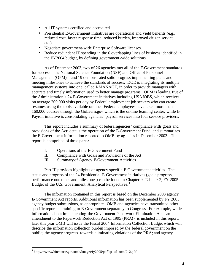- All IT systems certified and accredited.
- Presidential E-Government initiatives are operational and yield benefits (e.g., reduced cost, faster response time, reduced burden, improved citizen service, etc.).
- Negotiate government-wide Enterprise Software licenses.
- Reduce redundant IT spending in the 6 overlapping lines of business identified in the FY2004 budget, by defining government-wide solutions.

As of December 2003, two of 26 agencies met all of the E-Government standards for success – the National Science Foundation (NSF) and Office of Personnel Management (OPM) – and 19 demonstrated solid progress implementing plans and meeting milestones to achieve the standards of success. DOE is integrating its multiple management systems into one, called I-MANAGE, in order to provide managers with accurate and timely information used to better manage programs. OPM is leading five of the Administration's 24 E-Government initiatives including USAJOBS, which receives on average 200,000 visits per day by Federal employment job seekers who can create resumes using the tools available on-line. Federal employees have taken more than 160,000 courses through the GoLearn.gov which is the on-line learning center, while E-Payroll initiative is consolidating agencies' payroll services into four service providers.

This report includes a summary of federal agencies' compliance with goals and provisions of the Act; details the operation of the E-Government Fund, and summarizes the E-Government information reported to OMB by agencies in December 2003. The report is comprised of three parts:

- I. Operations of the E-Government Fund
- II. Compliance with Goals and Provisions of the Act
- III. Summary of Agency E-Government Activities

Part III provides highlights of agency-specific E-Government activities. The status and progress of the 24 Presidential E-Government initiatives (goals progress, performance outcomes and milestones) can be found in Chapter 9, Table 9-2, FY 2005 Budget of the U.S. Government, Analytical Perspectives.<sup>4</sup>

The information contained in this report is based on the December 2003 agency E-Government Act reports. Additional information has been supplemented by FY 2005 agency budget submissions, as appropriate. OMB and agencies have transmitted other specific reports pertaining to E-Government separately to Congress. For example, while information about implementing the Government Paperwork Elimination Act - an amendment to the Paperwork Reduction Act of 1995 (PRA) - is included in this report, later this year OMB will issue the Fiscal 2004 Information Collection Budget which will describe the information collection burden imposed by the federal government on the public; the agency progress towards eliminating violations of the PRA; and agency

 $\overline{a}$ 

<sup>&</sup>lt;sup>4</sup> http://www.whitehouse.gov/omb/budget/fy2005/pdf/ap\_cd\_rom/9\_2.pdf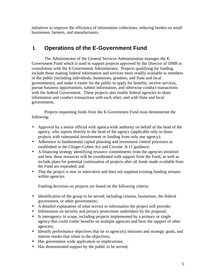initiatives to improve the efficiency of information collections, reducing burden on small businesses, farmers, and manufacturers.

# **I. Operations of the E-Government Fund**

The Administrator of the General Services Administration manages the E-Government Fund which is used to support projects approved by the Director of OMB in consultation with the E-Government Administrator. Projects qualifying for funding include those making federal information and services more readily available to members of the public (including individuals, businesses, grantees, and State and local governments), and make it easier for the public to apply for benefits, receive services, pursue business opportunities, submit information, and otherwise conduct transactions with the federal Government. These projects also enable federal agencies to share information and conduct transactions with each other, and with State and local governments.

Projects requesting funds from the E-Government Fund must demonstrate the following:

- Approval by a senior official with agency-wide authority on behalf of the head of the agency, who reports directly to the head of the agency (applicable only to those projects with substantial involvement or funding from only one agency);
- Adherence to fundamental capital planning and investment control processes as established in the Clinger-Cohen Act and Circular A-11 guidance;
- A financing strategy identifying resource commitments from the agencies involved and how these resources will be coordinated with support from the Fund, as well as include plans for potential continuation of projects after all funds made available from the Fund are expended; and
- That the project is new or innovative and does not supplant existing funding streams within agencies.

Funding decisions on projects are based on the following criteria:

- Identification of the group to be served, including citizens, businesses, the federal government, or other governments;
- A detailed explanation of what service or information the project will provide;
- Information on security and privacy protections undertaken by the proposal;
- Is interagency in scope, including projects implemented by a primary or single agency that could confer benefits on multiple agencies and have the support of other agencies;
- Identify performance objectives that tie to agency(s) missions and strategic goals, and interim results that relate to the objectives;
- Has government-wide application or implications;
- Has demonstrated support by the public to be served;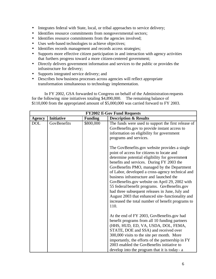- Integrates federal with State, local, or tribal approaches to service delivery;
- Identifies resource commitments from nongovernmental sectors;
- Identifies resource commitments from the agencies involved;
- Uses web-based technologies to achieve objectives;
- Identifies records management and records access strategies;
- Supports more effective citizen participation in and interaction with agency activities that furthers progress toward a more citizen-centered government;
- Directly delivers government information and services to the public or provides the infrastructure for delivery;
- Supports integrated service delivery; and
- Describes how business processes across agencies will reflect appropriate transformation simultaneous to technology implementation.

In FY 2002, GSA forwarded to Congress on behalf of the Administration requests for the following nine initiatives totaling \$4,890,000. The remaining balance of \$110,000 from the appropriated amount of \$5,000,000 was carried forward to FY 2003.

| <b>FY2002 E-Gov Fund Requests</b> |                   |                |                                                                                                                                                                                                                                                                                                                                                                                                                                                                                                                                                                                                                |
|-----------------------------------|-------------------|----------------|----------------------------------------------------------------------------------------------------------------------------------------------------------------------------------------------------------------------------------------------------------------------------------------------------------------------------------------------------------------------------------------------------------------------------------------------------------------------------------------------------------------------------------------------------------------------------------------------------------------|
| <b>Agency</b>                     | <b>Initiative</b> | <b>Funding</b> | <b>Description &amp; Results</b>                                                                                                                                                                                                                                                                                                                                                                                                                                                                                                                                                                               |
| <b>DOL</b>                        | GovBenefits       | \$800,000      | The funds were used to support the first release of<br>GovBenefits.gov to provide instant access to<br>information on eligibility for government<br>programs and services.                                                                                                                                                                                                                                                                                                                                                                                                                                     |
|                                   |                   |                | The GovBenefits.gov website provides a single<br>point of access for citizens to locate and<br>determine potential eligibility for government<br>benefits and services. During FY 2003 the<br>GovBenefits PMO, managed by the Department<br>of Labor, developed a cross-agency technical and<br>business infrastructure and launched the<br>GovBenefits.gov website on April 29, 2002 with<br>55 federal benefit programs. GovBenefits.gov<br>had three subsequent releases in June, July and<br>August 2003 that enhanced site-functionality and<br>increased the total number of benefit programs to<br>110. |
|                                   |                   |                | At the end of FY 2003, GovBenefits.gov had<br>benefit programs from all 10 funding partners<br>(HHS, HUD, ED, VA, USDA, DOL, FEMA,<br>STATE, DOE and SSA) and received over<br>300,000 visits to the site per month. More<br>importantly, the efforts of the partnership in FY<br>2003 enabled the GovBenefits initiative to<br>develop into the program that it is today - a                                                                                                                                                                                                                                  |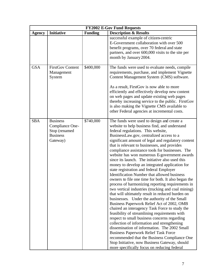| <b>FY2002 E-Gov Fund Requests</b> |                                                                                    |                |                                                                                                                                                                                                                                                                                                                                                                                                                                                                                                                                                                                                                                                                                                                                                                                                                                                                                                                                                                                                                                                                                                                                                                                                                                                                                                                                                                  |
|-----------------------------------|------------------------------------------------------------------------------------|----------------|------------------------------------------------------------------------------------------------------------------------------------------------------------------------------------------------------------------------------------------------------------------------------------------------------------------------------------------------------------------------------------------------------------------------------------------------------------------------------------------------------------------------------------------------------------------------------------------------------------------------------------------------------------------------------------------------------------------------------------------------------------------------------------------------------------------------------------------------------------------------------------------------------------------------------------------------------------------------------------------------------------------------------------------------------------------------------------------------------------------------------------------------------------------------------------------------------------------------------------------------------------------------------------------------------------------------------------------------------------------|
| <b>Agency</b>                     | <b>Initiative</b>                                                                  | <b>Funding</b> | <b>Description &amp; Results</b>                                                                                                                                                                                                                                                                                                                                                                                                                                                                                                                                                                                                                                                                                                                                                                                                                                                                                                                                                                                                                                                                                                                                                                                                                                                                                                                                 |
|                                   |                                                                                    |                | successful example of citizen-centric<br>E-Government collaboration with over 500<br>benefit programs, over 70 federal and state<br>partners, and over 600,000 visits to the site per<br>month by January 2004.                                                                                                                                                                                                                                                                                                                                                                                                                                                                                                                                                                                                                                                                                                                                                                                                                                                                                                                                                                                                                                                                                                                                                  |
| <b>GSA</b>                        | <b>FirstGov Content</b><br>Management<br>System                                    | \$400,000      | The funds were used to evaluate needs, compile<br>requirements, purchase, and implement Vignette<br>Content Management System (CMS) software.<br>As a result, FirstGov is now able to more<br>efficiently and effectively develop new content<br>on web pages and update existing web pages<br>thereby increasing service to the public. FirstGov<br>is also making the Vignette CMS available to<br>other Federal agencies at incremental costs.                                                                                                                                                                                                                                                                                                                                                                                                                                                                                                                                                                                                                                                                                                                                                                                                                                                                                                                |
| <b>SBA</b>                        | <b>Business</b><br>Compliance One-<br>Stop (renamed<br><b>Business</b><br>Gateway) | \$740,000      | The funds were used to design and create a<br>website to help business find, and understand<br>federal regulations. This website,<br>BusinessLaw.gov, centralized access to a<br>significant amount of legal and regulatory content<br>that is relevant to businesses, and provides<br>compliance assistance tools for businesses. The<br>website has won numerous E-government awards<br>since its launch. The initiative also used this<br>money to develop an integrated application for<br>state registration and federal Employer<br><b>Identification Number that allowed business</b><br>owners to file one time for both. It also began the<br>process of harmonizing reporting requirements in<br>two vertical industries (trucking and coal mining)<br>that will ultimately result in reduced burden on<br>businesses. Under the authority of the Small<br>Business Paperwork Relief Act of 2002, OMB<br>chaired an interagency Task Force to study the<br>feasibility of streamlining requirements with<br>respect to small business concerns regarding<br>collection of information and strengthening<br>dissemination of information. The 2002 Small<br><b>Business Paperwork Relief Task Force</b><br>recommended that the Business Compliance One<br>Stop Initiative, now Business Gateway, should<br>more specifically focus on reducing federal |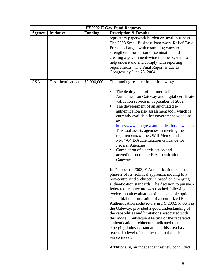|               |                   |                | <b>FY2002 E-Gov Fund Requests</b>                                                                                                                                                                                                                                                                                                                                                                                                                                                                                                                                                                                                                                                                                                                                                                                                                                                                                                                                                                                                                                                                                                                                                                                                                                                                                                                                                                                            |
|---------------|-------------------|----------------|------------------------------------------------------------------------------------------------------------------------------------------------------------------------------------------------------------------------------------------------------------------------------------------------------------------------------------------------------------------------------------------------------------------------------------------------------------------------------------------------------------------------------------------------------------------------------------------------------------------------------------------------------------------------------------------------------------------------------------------------------------------------------------------------------------------------------------------------------------------------------------------------------------------------------------------------------------------------------------------------------------------------------------------------------------------------------------------------------------------------------------------------------------------------------------------------------------------------------------------------------------------------------------------------------------------------------------------------------------------------------------------------------------------------------|
| <b>Agency</b> | <b>Initiative</b> | <b>Funding</b> | <b>Description &amp; Results</b>                                                                                                                                                                                                                                                                                                                                                                                                                                                                                                                                                                                                                                                                                                                                                                                                                                                                                                                                                                                                                                                                                                                                                                                                                                                                                                                                                                                             |
|               |                   |                | regulatory paperwork burden on small business.<br>The 2003 Small Business Paperwork Relief Task<br>Force is charged with examining ways to<br>strengthen information dissemination and<br>creating a government-wide internet system to<br>help understand and comply with reporting<br>requirements. The Final Report is due to<br>Congress by June 28, 2004.                                                                                                                                                                                                                                                                                                                                                                                                                                                                                                                                                                                                                                                                                                                                                                                                                                                                                                                                                                                                                                                               |
| <b>GSA</b>    | E-Authentication  | \$2,000,000    | The funding resulted in the following:<br>The deployment of an interim E-<br>П<br>Authentication Gateway and digital certificate<br>validation service in September of 2002<br>The development of an automated e-<br>п<br>authentication risk assessment tool, which is<br>currently available for government-wide use<br>at:<br>http://www.cio.gov/eauthentication/news.htm<br>This tool assists agencies in meeting the<br>requirements of the OMB Memorandum,<br>M-04-04 E-Authentication Guidance for<br>Federal Agencies.<br>Completion of a certification and<br>п<br>accreditation on the E-Authentication<br>Gateway.<br>In October of 2003, E-Authentication began<br>phase 2 of its technical approach, moving to a<br>non-centralized architecture based on emerging<br>authentication standards. The decision to pursue a<br>federated architecture was reached following a<br>twelve-month evaluation of the available options.<br>The initial demonstration of a centralized E-<br>Authentication architecture in FY 2002, known as<br>the Gateway, provided a good understanding of<br>the capabilities and limitations associated with<br>this model. Subsequent testing of the federated<br>authentication architecture indicated that<br>emerging industry standards in this area have<br>reached a level of stability that makes this a<br>viable model.<br>Additionally, an independent review concluded |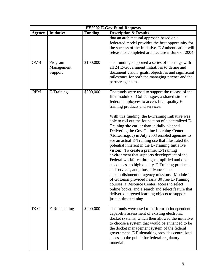| <b>FY2002 E-Gov Fund Requests</b> |                       |                |                                                                                                                                                                                                                                                                                                                                                                                                                                                                                                                                                                                                                                                                                                                                                                                                                                                                                                                                            |
|-----------------------------------|-----------------------|----------------|--------------------------------------------------------------------------------------------------------------------------------------------------------------------------------------------------------------------------------------------------------------------------------------------------------------------------------------------------------------------------------------------------------------------------------------------------------------------------------------------------------------------------------------------------------------------------------------------------------------------------------------------------------------------------------------------------------------------------------------------------------------------------------------------------------------------------------------------------------------------------------------------------------------------------------------------|
| <b>Agency</b>                     | <b>Initiative</b>     | <b>Funding</b> | <b>Description &amp; Results</b>                                                                                                                                                                                                                                                                                                                                                                                                                                                                                                                                                                                                                                                                                                                                                                                                                                                                                                           |
| <b>OMB</b>                        | Program               | \$100,000      | that an architectural approach based on a<br>federated model provides the best opportunity for<br>the success of the Initiative. E-Authentication will<br>release its completed architecture in June of 2004.<br>The funding supported a series of meetings with                                                                                                                                                                                                                                                                                                                                                                                                                                                                                                                                                                                                                                                                           |
|                                   | Management<br>Support |                | all 24 E-Government initiatives to define and<br>document vision, goals, objectives and significant<br>milestones for both the managing partner and the<br>partner agencies.                                                                                                                                                                                                                                                                                                                                                                                                                                                                                                                                                                                                                                                                                                                                                               |
| <b>OPM</b>                        | E-Training            | \$200,000      | The funds were used to support the release of the<br>first module of GoLearn.gov, a shared site for<br>federal employees to access high quality E-<br>training products and services.                                                                                                                                                                                                                                                                                                                                                                                                                                                                                                                                                                                                                                                                                                                                                      |
| <b>DOT</b>                        | E-Rulemaking          | \$200,000      | With this funding, the E-Training Initiative was<br>able to roll out the foundation of a centralized E-<br>Training site earlier than initially planned.<br>Delivering the Gov Online Learning Center<br>(GoLearn.gov) in July 2003 enabled agencies to<br>see an actual E-Training site that illustrated the<br>potential inherent in the E-Training Initiative<br>vision: To create a premier E-Training<br>environment that supports development of the<br>Federal workforce through simplified and one-<br>stop access to high quality E-Training products<br>and services, and, thus, advances the<br>accomplishment of agency missions. Module 1<br>of GoLearn provided nearly 30 free E-Training<br>courses, a Resource Center, access to select<br>online books, and a search and select feature that<br>delivered targeted learning objects to support<br>just-in-time training.<br>The funds were used to perform an independent |
|                                   |                       |                | capability assessment of existing electronic<br>docket systems, which then allowed the initiative<br>to choose a system that would be enhanced to be<br>the docket management system of the federal<br>government. E-Rulemaking provides centralized<br>access to the public for federal regulatory<br>material.                                                                                                                                                                                                                                                                                                                                                                                                                                                                                                                                                                                                                           |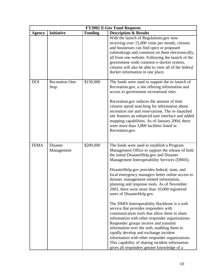|               |                                |                | <b>FY2002 E-Gov Fund Requests</b>                                                                                                                                                                                                                                                                                                                                                                                                                                                                                                                                                                                                                                                                                                                                                                                                                                                                                                                         |
|---------------|--------------------------------|----------------|-----------------------------------------------------------------------------------------------------------------------------------------------------------------------------------------------------------------------------------------------------------------------------------------------------------------------------------------------------------------------------------------------------------------------------------------------------------------------------------------------------------------------------------------------------------------------------------------------------------------------------------------------------------------------------------------------------------------------------------------------------------------------------------------------------------------------------------------------------------------------------------------------------------------------------------------------------------|
| <b>Agency</b> | <b>Initiative</b>              | <b>Funding</b> | <b>Description &amp; Results</b>                                                                                                                                                                                                                                                                                                                                                                                                                                                                                                                                                                                                                                                                                                                                                                                                                                                                                                                          |
|               |                                |                | With the launch of Regulations.gov now<br>receiving over 15,000 visits per month, citizens<br>and businesses can find open or proposed<br>rulemakings and comment on them electronically,<br>all from one website. Following the launch of the<br>government-wide common e-docket system,<br>citizens will also be able to view all of the federal<br>docket information in one place.                                                                                                                                                                                                                                                                                                                                                                                                                                                                                                                                                                    |
| <b>DOI</b>    | <b>Recreation One-</b><br>Stop | \$150,000      | The funds were used to support the re-launch of<br>Recreation.gov, a site offering information and<br>access to government recreational sites.<br>Recreation.gov reduces the amount of time<br>citizens spend searching for information about<br>recreation site and reservations. The re-launched<br>site features an enhanced user interface and added<br>mapping capabilities. As of January 2004, there<br>were more than 3,800 facilities listed in<br>Recreation.gov.                                                                                                                                                                                                                                                                                                                                                                                                                                                                               |
| <b>FEMA</b>   | <b>Disaster</b><br>Management  | \$200,000      | The funds were used to establish a Program<br>Management Office to support the release of both<br>the initial DisasterHelp.gov and Disaster<br>Management Interoperability Services (DMiS).<br>DisasterHelp.gov provides federal, state, and<br>local emergency managers better online access to<br>disaster management-related information,<br>planning and response tools. As of November<br>2003, there were more than 10,000 registered<br>users of DisasterHelp.gov.<br>The DMIS Interoperability Backbone is a web<br>service that provides responders with<br>communication tools that allow them to share<br>information with other responder organizations.<br>Responder groups receive and transmit<br>information over the web, enabling them to<br>rapidly develop and exchange incident<br>information with other responder organizations.<br>This capability of sharing incident information<br>gives all responders greater knowledge of a |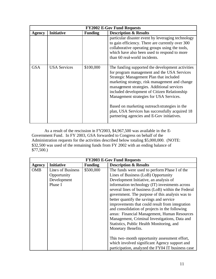|               | <b>FY2002 E-Gov Fund Requests</b> |                |                                                                                                                                                                                                                                                                                                                                                                                                                                                                                         |  |
|---------------|-----------------------------------|----------------|-----------------------------------------------------------------------------------------------------------------------------------------------------------------------------------------------------------------------------------------------------------------------------------------------------------------------------------------------------------------------------------------------------------------------------------------------------------------------------------------|--|
| <b>Agency</b> | <b>Initiative</b>                 | <b>Funding</b> | <b>Description &amp; Results</b>                                                                                                                                                                                                                                                                                                                                                                                                                                                        |  |
|               |                                   |                | particular disaster event by leveraging technology<br>to gain efficiency. There are currently over 300<br>collaborative operating groups using the tools,<br>which have also been used to respond to more<br>than 60 real-world incidents.                                                                                                                                                                                                                                              |  |
| <b>GSA</b>    | <b>USA Services</b>               | \$100,000      | The funding supported the development activities<br>for program management and the USA Services<br>Strategic Management Plan that included<br>marketing strategy, risk management and change<br>management strategies. Additional services<br>included development of Citizen Relationship<br>Management strategies for USA Services.<br>Based on marketing outreach strategies in the<br>plan, USA Services has successfully acquired 18<br>partnering agencies and E-Gov initiatives. |  |

As a result of the rescission in FY2003, \$4,967,500 was available in the E-Government Fund. In FY 2003, GSA forwarded to Congress on behalf of the Administration requests for the activities described below totaling \$5,000,000. (NOTE: \$32,500 was used of the remaining funds from FY 2002 with an ending balance of \$77,500.)

|            | <b>FY2003 E-Gov Fund Requests</b> |                |                                                    |  |
|------------|-----------------------------------|----------------|----------------------------------------------------|--|
| Agency     | <b>Initiative</b>                 | <b>Funding</b> | <b>Description &amp; Results</b>                   |  |
| <b>OMB</b> | Lines of Business                 | \$500,000      | The funds were used to perform Phase I of the      |  |
|            | Opportunity                       |                | Lines of Business (LoB) Opportunity                |  |
|            | Development                       |                | Development Initiative, an analysis of             |  |
|            | Phase I                           |                | information technology (IT) investments across     |  |
|            |                                   |                | several lines of business (LoB) within the Federal |  |
|            |                                   |                | government. The purpose of this analysis was to    |  |
|            |                                   |                | better quantify the savings and service            |  |
|            |                                   |                | improvements that could result from integration    |  |
|            |                                   |                | and consolidation of projects in the following     |  |
|            |                                   |                | areas: Financial Management, Human Resources       |  |
|            |                                   |                | Management, Criminal Investigations, Data and      |  |
|            |                                   |                | Statistics, Public Health Monitoring, and          |  |
|            |                                   |                | Monetary Benefits.                                 |  |
|            |                                   |                |                                                    |  |
|            |                                   |                | This two-month opportunity assessment effort,      |  |
|            |                                   |                | which involved significant Agency support and      |  |
|            |                                   |                | participation, analyzed the FY04 IT business case  |  |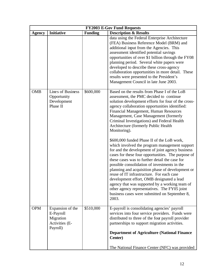| <b>FY2003 E-Gov Fund Requests</b> |                                                                          |                |                                                                                                                                                                                                                                                                                                                                                                                                                                                                                                                                                                                                                                                                                                                                                                                                                                                                                                                                                                                                                |
|-----------------------------------|--------------------------------------------------------------------------|----------------|----------------------------------------------------------------------------------------------------------------------------------------------------------------------------------------------------------------------------------------------------------------------------------------------------------------------------------------------------------------------------------------------------------------------------------------------------------------------------------------------------------------------------------------------------------------------------------------------------------------------------------------------------------------------------------------------------------------------------------------------------------------------------------------------------------------------------------------------------------------------------------------------------------------------------------------------------------------------------------------------------------------|
| <b>Agency</b>                     | <b>Initiative</b>                                                        | <b>Funding</b> | <b>Description &amp; Results</b>                                                                                                                                                                                                                                                                                                                                                                                                                                                                                                                                                                                                                                                                                                                                                                                                                                                                                                                                                                               |
|                                   |                                                                          |                | data using the Federal Enterprise Architecture<br>(FEA) Business Reference Model (BRM) and<br>additional input from the Agencies. This<br>assessment identified potential savings<br>opportunities of over \$1 billion through the FY08<br>planning period. Several white papers were<br>developed to describe these cross-agency<br>collaboration opportunities in more detail. These<br>results were presented to the President's<br>Management Council in late June 2003.                                                                                                                                                                                                                                                                                                                                                                                                                                                                                                                                   |
| <b>OMB</b>                        | Lines of Business<br>Opportunity<br>Development<br>Phase II              | \$600,000      | Based on the results from Phase I of the LoB<br>assessment, the PMC decided to continue<br>solution development efforts for four of the cross-<br>agency collaboration opportunities identified:<br>Financial Management, Human Resources<br>Management, Case Management (formerly<br>Criminal Investigations) and Federal Health<br>Architecture (formerly Public Health<br>Monitoring).<br>\$600,000 funded Phase II of the LoB work,<br>which involved the program management support<br>for and the development of joint agency business<br>cases for these four opportunities. The purpose of<br>these cases was to further detail the case for<br>possible consolidation of investments in the<br>planning and acquisition phase of development or<br>reuse of IT infrastructure. For each case<br>development effort, OMB designated a lead<br>agency that was supported by a working team of<br>other agency representatives. The FY05 joint<br>business cases were submitted on September 8,<br>2003. |
| <b>OPM</b>                        | Expansion of the<br>E-Payroll<br>Migration<br>Activities (E-<br>Payroll) | \$510,000      | E-payroll is consolidating agencies' payroll<br>services into four service providers. Funds were<br>distributed to three of the four payroll provider<br>partnerships to support migration activities.<br><b>Department of Agriculture (National Finance</b><br><b>Center</b> )                                                                                                                                                                                                                                                                                                                                                                                                                                                                                                                                                                                                                                                                                                                                |
|                                   |                                                                          |                | The National Finance Center (NFC) was provided                                                                                                                                                                                                                                                                                                                                                                                                                                                                                                                                                                                                                                                                                                                                                                                                                                                                                                                                                                 |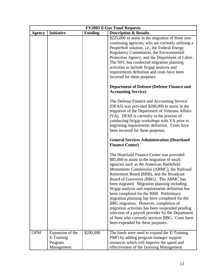|               |                                                         |                | <b>FY2003 E-Gov Fund Requests</b>                                                                                                                                                                                                                                                                                                                                                                                                                                                                                                                                                                                                                                                                                  |
|---------------|---------------------------------------------------------|----------------|--------------------------------------------------------------------------------------------------------------------------------------------------------------------------------------------------------------------------------------------------------------------------------------------------------------------------------------------------------------------------------------------------------------------------------------------------------------------------------------------------------------------------------------------------------------------------------------------------------------------------------------------------------------------------------------------------------------------|
| <b>Agency</b> | <b>Initiative</b>                                       | <b>Funding</b> | <b>Description &amp; Results</b>                                                                                                                                                                                                                                                                                                                                                                                                                                                                                                                                                                                                                                                                                   |
|               |                                                         |                | \$225,000 to assist in the migration of those non-<br>continuing agencies, who are currently utilizing a<br>PeopleSoft solution, i.e., the Federal Energy<br>Regulatory Commission, the Environmental<br>Protection Agency, and the Department of Labor.<br>The NFC has conducted migration planning<br>activities to include fit/gap analysis and<br>requirements definition and costs have been<br>incurred for these purposes.                                                                                                                                                                                                                                                                                  |
|               |                                                         |                | <b>Department of Defense (Defense Finance and</b><br><b>Accounting Service</b> )<br>The Defense Finance and Accounting Service                                                                                                                                                                                                                                                                                                                                                                                                                                                                                                                                                                                     |
|               |                                                         |                | (DFAS) was provided \$200,000 to assist in the<br>migration of the Department of Veterans Affairs<br>(VA). DFAS is currently in the process of<br>conducting fit/gap workshops with VA prior to<br>beginning requirements definition. Costs have<br>been incurred for these purposes.                                                                                                                                                                                                                                                                                                                                                                                                                              |
|               |                                                         |                | <b>General Services Administration (Heartland</b><br><b>Finance Center)</b>                                                                                                                                                                                                                                                                                                                                                                                                                                                                                                                                                                                                                                        |
|               |                                                         |                | The Heartland Finance Center was provided<br>\$85,000 to assist in the migration of small<br>agencies such as the American Battlefield<br>Monuments Commission (ABMC), the Railroad<br>Retirement Board (RRB), and the Broadcast<br>Board of Governors (BBG). The ABMC has<br>been migrated. Migration planning including<br>fit/gap analysis and requirements definition has<br>been completed for the RRB. Preliminary<br>migration planning has been completed for the<br>BBG migration. However, completion of<br>migration activities has been suspended pending<br>selection of a payroll provider by the Department<br>of State who currently services BBG. Costs have<br>been expended for these purposes. |
| <b>OPM</b>    | Expansion of the<br>E-Training<br>Program<br>Management | \$200,000      | The funds were used to expand the E-Training<br>PMO by adding program manager support<br>resources which will improve the speed and<br>effectiveness of the Learning Management                                                                                                                                                                                                                                                                                                                                                                                                                                                                                                                                    |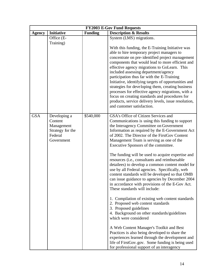| <b>FY2003 E-Gov Fund Requests</b> |                                                                                    |                |                                                                                                                                                                                                                                                                                                                                                                                                                                                                                                                                                                                                                                                                                                                                                                                                                                                                                                                                                                                                                                                                                                                                                                                |
|-----------------------------------|------------------------------------------------------------------------------------|----------------|--------------------------------------------------------------------------------------------------------------------------------------------------------------------------------------------------------------------------------------------------------------------------------------------------------------------------------------------------------------------------------------------------------------------------------------------------------------------------------------------------------------------------------------------------------------------------------------------------------------------------------------------------------------------------------------------------------------------------------------------------------------------------------------------------------------------------------------------------------------------------------------------------------------------------------------------------------------------------------------------------------------------------------------------------------------------------------------------------------------------------------------------------------------------------------|
| <b>Agency</b>                     | <b>Initiative</b>                                                                  | <b>Funding</b> | <b>Description &amp; Results</b>                                                                                                                                                                                                                                                                                                                                                                                                                                                                                                                                                                                                                                                                                                                                                                                                                                                                                                                                                                                                                                                                                                                                               |
|                                   | Office (E-                                                                         |                | System (LMS) migrations.                                                                                                                                                                                                                                                                                                                                                                                                                                                                                                                                                                                                                                                                                                                                                                                                                                                                                                                                                                                                                                                                                                                                                       |
|                                   | Training)                                                                          |                | With this funding, the E-Training Initiative was<br>able to hire temporary project managers to<br>concentrate on pre-identified project management<br>components that would lead to more efficient and<br>effective agency migrations to GoLearn. This<br>included assessing department/agency<br>participation thus far with the E-Training<br>Initiative, identifying targets of opportunities and<br>strategies for developing them, creating business<br>processes for effective agency migrations, with a<br>focus on creating standards and procedures for<br>products, service delivery levels, issue resolution,<br>and customer satisfaction.                                                                                                                                                                                                                                                                                                                                                                                                                                                                                                                         |
| <b>GSA</b>                        | Developing a<br>Content<br>Management<br>Strategy for the<br>Federal<br>Government | \$540,000      | GSA's Office of Citizen Services and<br>Communications is using this funding to support<br>the Interagency Committee on Government<br>Information as required by the E-Government Act<br>of 2002. The Director of the FirstGov Content<br>Management Team is serving as one of the<br>Executive Sponsors of the committee.<br>The funding will be used to acquire expertise and<br>resources (i.e., consultants and reimbursable<br>detailees) to develop a common content model for<br>use by all Federal agencies. Specifically, web<br>content standards will be developed so that OMB<br>can issue guidance to agencies by December 2004<br>in accordance with provisions of the E-Gov Act.<br>These standards will include:<br>1. Compilation of existing web content standards<br>2. Proposed web content standards<br>3. Proposed guidelines<br>4. Background on other standards/guidelines<br>which were considered<br>A Web Content Manager's Toolkit and Best<br>Practices is also being developed to share the<br>experiences learned through the development and<br>life of FirstGov.gov. Some funding is being used<br>for professional support of an interagency |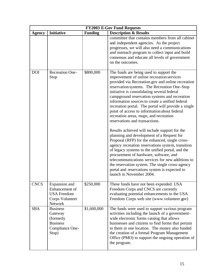|               |                                                                                        |                | <b>FY2003 E-Gov Fund Requests</b>                                                                                                                                                                                                                                                                                                                                                                                                                                                                                                                                                                                                                                                                                                                                                                                                                                                                                                                                                                                      |
|---------------|----------------------------------------------------------------------------------------|----------------|------------------------------------------------------------------------------------------------------------------------------------------------------------------------------------------------------------------------------------------------------------------------------------------------------------------------------------------------------------------------------------------------------------------------------------------------------------------------------------------------------------------------------------------------------------------------------------------------------------------------------------------------------------------------------------------------------------------------------------------------------------------------------------------------------------------------------------------------------------------------------------------------------------------------------------------------------------------------------------------------------------------------|
| <b>Agency</b> | <b>Initiative</b>                                                                      | <b>Funding</b> | <b>Description &amp; Results</b>                                                                                                                                                                                                                                                                                                                                                                                                                                                                                                                                                                                                                                                                                                                                                                                                                                                                                                                                                                                       |
|               |                                                                                        |                | committee that contains members from all cabinet<br>and independent agencies. As the project<br>progresses, we will also need a communications<br>and outreach program to collect input and build<br>consensus and educate all levels of government<br>on the outcomes.                                                                                                                                                                                                                                                                                                                                                                                                                                                                                                                                                                                                                                                                                                                                                |
| <b>DOI</b>    | <b>Recreation One-</b><br>Stop                                                         | \$800,000      | The funds are being used to support the<br>improvement of online recreation services<br>provided via Recreation.gov and online recreation<br>reservation systems. The Recreation One-Stop<br>initiative is consolidating several federal<br>campground reservation systems and recreation<br>information sources to create a unified federal<br>recreation portal. The portal will provide a single<br>point of access to information about federal<br>recreation areas, maps, and recreation<br>reservations and transactions.<br>Results achieved will include support for the<br>planning and development of a Request for<br>Proposal (RFP) for the enhanced, single cross-<br>agency recreation reservations system, transition<br>of legacy systems to the unified portal, and the<br>procurement of hardware, software, and<br>telecommunications services for new additions to<br>the reservation system. The single cross-agency<br>portal and reservations system is expected to<br>launch in November 2004. |
| <b>CNCS</b>   | Expansion and<br>Enhancement of<br><b>USA Freedom</b><br>Corps Volunteer<br>Network    | \$250,000      | These funds have not been expended. USA<br>Freedom Corps and CNCS are currently<br>evaluating potential enhancements to the USA<br>Freedom Corps web site (www.volunteer.gov)                                                                                                                                                                                                                                                                                                                                                                                                                                                                                                                                                                                                                                                                                                                                                                                                                                          |
| <b>SBA</b>    | <b>Business</b><br>Gateway<br>(formerly<br><b>Business</b><br>Compliance One-<br>Stop) | \$1,600,000    | The funds were used to support various program<br>activities including the launch of a government-<br>wide electronic forms catalog that allows<br>businesses and citizens to find forms that pertain<br>to them in one location. The money also funded<br>the creation of a formal Program Management<br>Office (PMO) to support the ongoing operation of<br>the program.                                                                                                                                                                                                                                                                                                                                                                                                                                                                                                                                                                                                                                             |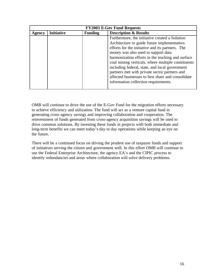| <b>FY2003 E-Gov Fund Requests</b> |                   |                |                                                    |  |
|-----------------------------------|-------------------|----------------|----------------------------------------------------|--|
| Agency                            | <b>Initiative</b> | <b>Funding</b> | <b>Description &amp; Results</b>                   |  |
|                                   |                   |                | Furthermore, the initiative created a Solution     |  |
|                                   |                   |                | Architecture to guide future implementation        |  |
|                                   |                   |                | efforts for the initiative and its partners. The   |  |
|                                   |                   |                | money was also used to support data                |  |
|                                   |                   |                | harmonization efforts in the trucking and surface  |  |
|                                   |                   |                | coal mining verticals, where multiple constituents |  |
|                                   |                   |                | including federal, state, and local government     |  |
|                                   |                   |                | partners met with private sector partners and      |  |
|                                   |                   |                | affected businesses to best share and consolidate  |  |
|                                   |                   |                | information collection requirements.               |  |
|                                   |                   |                |                                                    |  |

OMB will continue to drive the use of the E-Gov Fund for the migration efforts necessary to achieve efficiency and utilization. The fund will act as a venture capital fund in generating cross-agency savings and improving collaboration and cooperation. The reinvestment of funds generated from cross-agency acquisition savings will be used to drive common solutions. By investing these funds in projects with both immediate and long-term benefits we can meet today's day to day operations while keeping an eye on the future.

There will be a continued focus on driving the prudent use of taxpayer funds and support of initiatives serving the citizen and government well. In this effort OMB will continue to use the Federal Enterprise Architecture, the agency EA's and the CIPIC process to identify redundancies and areas where collaboration will solve delivery problems.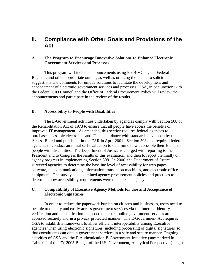# **II. Compliance with Other Goals and Provisions of the Act**

# **A. The Program to Encourage Innovative Solutions to Enhance Electronic Government Services and Processes**

This program will include announcements using FedBizOpps, the Federal Register, and other appropriate outlets, as well as utilizing the media to solicit suggestions and comments for unique solutions to facilitate the development and enhancement of electronic government services and processes. GSA, in conjunction with the Federal CIO Council and the Office of Federal Procurement Policy will review the announcements and participate in the review of the results.

# **B. Accessibility to People with Disabilities**

The E-Government activities undertaken by agencies comply with Section 508 of the Rehabilitation Act of 1973 to ensure that all people have access the benefits of improved IT management. As amended, this section requires federal agencies to purchase accessible electronics and IT in accordance with standards developed by the Access Board and published in the FAR in April 2001. Section 508 also required federal agencies to conduct an initial self-evaluation to determine how accessible their EIT is to people with disabilities. The Department of Justice is charged with reporting to the President and to Congress the results of this evaluation, and then to report biennially on agency progress in implementing Section 508. In 2000, the Department of Justice surveyed agencies to determine the baseline level of accessibility for web pages, software, telecommunications, information transaction machines, and electronic office equipment. The survey also examined agency procurement policies and practices to determine how accessibility requirements were met at each agency.

# **C. Compatibility of Executive Agency Methods for Use and Acceptance of Electronic Signatures**

In order to reduce the paperwork burden on citizens and businesses, users need to be able to quickly and easily access government services via the Internet. Identity verification and authentication is needed to ensure online government services are accessed securely and in a privacy protected manner. The E-Government Act requires GSA to establish a framework to allow efficient interoperability among Executive agencies when using electronic signatures, including processing of digital signatures, so that constituents can obtain government services in a safe and secure manner. Ongoing activities of GSA and the E-Authentication E-Government Initiative (summarized in Table 9.2 of the FY 2005 Budget of the U.S. Government, Analytical Perspectives) begin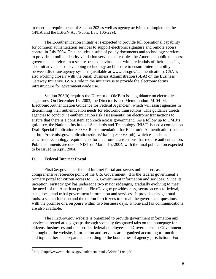to meet the requirements of Section 203 as well as agency activities to implement the GPEA and the ESIGN Act (Public Law 106-229).

The E-Authentication Initiative is expected to provide full operational capability for common authentication services to support electronic signature and remote access control in July 2004. This includes a suite of policy documents and technology services to provide an online identity validation service that enables the American public to access government services in a secure, trusted environment with credentials of their choosing. The Initiative is also developing technology architecture to ensure interoperability between disparate agency systems (available at www.cio.gov/eauthentication). GSA is also working closely with the Small Business Administration (SBA) on the Business Gateway Initiative. GSA's role in the initiative is to provide the electronic forms infrastructure for government-wide use.

Section 203(b) requires the Director of OMB to issue guidance on electronic signatures. On December 16, 2003, the Director issued Memorandum M-04-04, Electronic Authentication Guidance for Federal Agencies<sup>5</sup>, which will assist agencies in determining their authentication needs for electronic transactions. This guidance directs agencies to conduct "e-authentication risk assessments" on electronic transactions to ensure that there is a consistent approach across government. As a follow up to OMB's guidance, the National Institute of Standards and Technology (NIST) issued a companion Draft Special Publication 800-63 Recommendation for Electronic Authentication (located at: http://csrc.nist.gov/publications/drafts/draft-sp800-63.pdf), which establishes consistent technology requirements for electronic transactions that require authentication. Public comments are due to NIST on March 15, 2004, with the final publication expected to be issued in April 2004.

# **D. Federal Internet Portal**

 $\overline{a}$ 

FirstGov.gov is the federal Internet Portal and serves online users as a comprehensive reference point of the U.S. Government. It is the federal government's primary portal for citizen access to U.S. Government information and services. Since its inception, Firstgov.gov has undergone two major redesigns, gradually evolving to meet the needs of the American public. FirstGov.gov provides easy, secure access to federal, state, local, and tribal government information and services. It provides navigational tools, a search function and the option for citizens to e-mail the government questions, with the promise of a response within two business days. Phone and fax communications are also available.

The FirstGov.gov website is organized to provide government information and services directed at key groups through specially designated tabs on the homepage for citizens, businesses and non-profits, federal employees and Government-to-Government. Throughout the website, information and services are organized according to function and topic rather than separated according to the boundaries of agency jurisdiction. For

<sup>&</sup>lt;sup>5</sup> http://http://www.whitehouse.gov/omb/memoranda/fy04/m04-04.pdf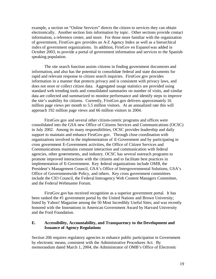example, a section on "Online Services" directs the citizen to services they can obtain electronically. Another section lists information by topic. Other sections provide contact information, a reference center, and more. For those more familiar with the organization of government, FirstGov.gov provides an A-Z Agency Index as well as a hierarchical index of government organizations. In addition, FirstGov en Espanol was added in October 2003, to provide a portal of government information and services to the Spanishspeaking population.

The site search function assists citizens in finding government documents and information, and also has the potential to consolidate federal and state documents for rapid and relevant response to citizen search inquiries. FirstGov.gov provides information in a manner that protects privacy and is consistent with privacy laws, and does not store or collect citizen data. Aggregated usage statistics are provided using standard web trending tools and consolidated summaries on number of visits, and similar data are collected and summarized to monitor performance and identify steps to improve the site's usability for citizens. Currently, FirstGov.gov delivers approximately 16 million page views per month to 5.5 million visitors. At an annualized rate this will approach 192 million page views and 66 million visitors in 2004.

FirstGov.gov and several other citizen-centric programs and offices were consolidated into the GSA new Office of Citizens Services and Communications (OCSC) in July 2002. Among its many responsibilities, OCSC provides leadership and daily support to maintain and enhance FirstGov.gov. Through close coordination with organizations involved in the implementation of E-Government and by participating in cross government E-Government activities, the Office of Citizen Services and Communications maintains constant interaction and communication with federal agencies, other governments, and industry. OCSC has several outreach programs to promote improved interactions with the citizens and to facilitate best practices in implementation of E-Government. Key federal organizations include OMB, the President's Management Council, GSA's Office of Intergovernmental Solutions, GSA's Office of Governmentwide Policy, and others. Key cross government committees include the CIO Council, the Federal Interagency Web Content Managers Committee, and the Federal Webmaster Forum.

FirstGov.gov has received recognition as a superior government portal. It has been ranked the #1 government portal by the United Nations and Brown University; listed by Yahoo! Magazine among the 50 Most Incredibly Useful Sites; and was recently honored with the Innovations in American Government Award by Harvard University and the Ford Foundation.

# **E. Accessibility, Accountability, and Transparency to the Development and Issuance of Agency Regulations**

Section 206 requires regulatory agencies to enhance public participation in Government by electronic means, consistent with the Administrative Procedures Act. By memorandum dated March 1, 2004, the Administrator of OMB's Office of Electronic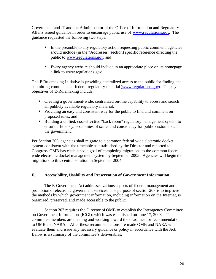Government and IT and the Administrator of the Office of Information and Regulatory Affairs issued guidance in order to encourage public use of www.regulations.gov. The guidance requested the following two steps:

- In the preamble to any regulatory action requesting public comment, agencies should include (in the "Addresses" section) specific reference directing the public to www.regulations.gov; and
- Every agency website should include in an appropriate place on its homepage a link to www.regulations.gov.

The E-Rulemaking Initiative is providing centralized access to the public for finding and submitting comments on federal regulatory material (www.regulations.gov). The key objectives of E-Rulemaking include:

- Creating a government-wide, centralized on-line capability to access and search all publicly available regulatory material;
- Providing an easy and consistent way for the public to find and comment on proposed rules; and
- Building a unified, cost-effective "back room" regulatory management system to ensure efficiency, economies of scale, and consistency for public customers and the government.

Per Section 206, agencies shall migrate to a common federal wide electronic docket system consistent with the timetable as established by the Director and reported to Congress. OMB has established a goal of completing migrations to the common federal wide electronic docket management system by September 2005. Agencies will begin the migrations to this central solution in September 2004.

# **F. Accessibility, Usability and Preservation of Government Information**

The E-Government Act addresses various aspects of federal management and promotion of electronic government services. The purpose of section 207 is to improve the methods by which government information, including information on the Internet, is organized, preserved, and made accessible to the public.

Section 207 requires the Director of OMB to establish the Interagency Committee on Government Information (ICGI), which was established on June 17, 2003. The committee members are meeting and working toward the deadlines for recommendation to OMB and NARA. After these recommendations are made OMB and NARA will evaluate them and issue any necessary guidance or policy in accordance with the Act. Below is a summary of the committee's deliverables: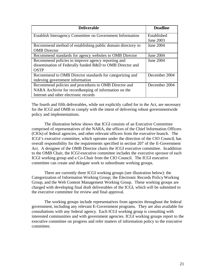| <b>Deliverable</b>                                          | <b>Deadline</b>  |
|-------------------------------------------------------------|------------------|
| Establish Interagency Committee on Government Information   | Established      |
|                                                             | June 2003        |
| Recommend method of establishing public domain directory to | <b>June 2004</b> |
| <b>OMB</b> Director                                         |                  |
| Recommend standards for agency websites to OMB Director     | June 2004        |
| Recommend policies to improve agency reporting and          | June 2004        |
| dissemination of Federally funded R&D to OMB Director and   |                  |
| <b>OSTP</b>                                                 |                  |
| Recommend to OMB Director standards for categorizing and    | December 2004    |
| indexing government information                             |                  |
| Recommend policies and procedures to OMB Director and       | December 2004    |
| NARA Archivist for recordkeeping of information on the      |                  |
| Internet and other electronic records                       |                  |

The fourth and fifth deliverables, while not explicitly called for in the Act, are necessary for the ICGI and OMB to comply with the intent of delivering robust governmentwide policy and implementations.

The illustration below shows that ICGI consists of an Executive Committee comprised of representatives of the NARA, the offices of the Chief Information Officers (CIOs) of federal agencies, and other relevant officers from the executive branch. The ICGI's executive committee, which operates under the direction of the CIO Council, has overall responsibility for the requirements specified in section 207 of the E-Government Act. A designee of the OMB Director chairs the ICGI executive committee. Inaddition to the OMB Chair, the ICGI executive committee includes the executive sponsor of each ICGI working group and a Co-Chair from the CIO Council. The ICGI executive committee can create and delegate work to subordinate working groups.

There are currently three ICGI working groups (see illustration below): the Categorization of Information Working Group; the Electronic Records Policy Working Group, and the Web Content Management Working Group. These working groups are charged with developing final draft deliverables of the ICGI, which will be submitted to the executive committee for review and final approval.

The working groups include representatives from agencies throughout the federal government, including any relevant E-Government programs. They are also available for consultations with any federal agency. Each ICGI working group is consulting with interested communities and with government agencies. ICGI working groups report to the executive committee on progress and refer matters of information policy to the executive committee.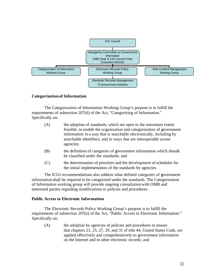

# **Categorization of Information**

The Categorization of Information Working Group's purpose is to fulfill the requirements of subsection 207(d) of the Act, "Categorizing of Information." Specifically on:

| (A) | the adoption of standards, which are open to the maximum extent       |
|-----|-----------------------------------------------------------------------|
|     | feasible, to enable the organization and categorization of government |
|     | information in a way that is searchable electronically, including by  |
|     | searchable identifiers; and in ways that are interoperable across     |
|     | agencies;                                                             |

- (B) the definition of categories of government information which should be classified under the standards; and
- (C) the determination of priorities and the development of schedules for the initial implementation of the standards by agencies.

The ICGI recommendations also address what defined categories of government information shall be required to be categorized under the standards. The Categorization of Information working group will provide ongoing consultation with OMB and interested parties regarding modifications to policies and procedures.

#### **Public Access to Electronic Information**

The Electronic Records Policy Working Group's purpose is to fulfill the requirements of subsection 207(e) of the Act, "Public Access to Electronic Information." Specifically on:

(A) the adoption by agencies of policies and procedures to ensure that chapters 21, 25, 27, 29, and 31 of title 44, United States Code, are applied effectively and comprehensively to government information on the Internet and to other electronic records; and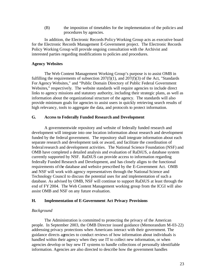(B) the imposition of timetables for the implementation of the policie s and procedures by agencies.

In addition, the Electronic Records Policy Working Group acts as executive board for the Electronic Records Management E-Government project. The Electronic Records Policy Working Group will provide ongoing consultation with the Archivist and interested parties regarding modifications to policies and procedures.

# **Agency Websites**

The Web Content Management Working Group's purpose is to assist OMB in fulfilling the requirements of subsection  $207(f)(1)$ , and  $207(f)(3)$  of the Act, "Standards" For Agency Websites," and "Public Domain Directory of Public Federal Government Websites," respectively. The website standards will require agencies to include direct links to agency missions and statutory authority, including their strategic plans, as well as information about the organizational structure of the agency. The standards will also provide minimum goals for agencies to assist users in quickly retrieving search results of high relevancy, tools to aggregate the data, and protocols to protect information.

# **G. Access to Federally Funded Research and Development**

A governmentwide repository and website of federally funded research and development will integrate into one location information about research and development funded by the federal government. The repository shall integrate information about each separate research and development task or award, and facilitate the coordination of federal research and development activities. The National Science Foundation (NSF) and OMB have completed a detailed analysis and evaluation of RaDiUS, a database system currently supported by NSF. RaDiUS can provide access to information regarding federally Funded Research and Development, and has closely aligns to the functional requirements of the database and website prescribed by the E-Government Act. OMB and NSF will work with agency representatives through the National Science and Technology Council to discuss the potential uses for and implementation of such a database. As advised by OMB, NSF will continue to support RaDiUS at least through the end of FY2004. The Web Content Management working group from the ICGI will also assist OMB and NSF on any future evaluation.

# **H. Implementation of E-Government Act Privacy Provisions**

# *Background*

The Administration is committed to protecting the privacy of the American people. In September 2003, the OMB Director issued guidance (Memorandum M-03-22) addressing privacy protections when Americans interact with their government. The guidance directs agencies to conduct reviews of how information about individuals is handled within their agency when they use IT to collect new information, or when agencies develop or buy new IT systems to handle collections of personally identifiable information. Agencies are also directed to describe how the government handles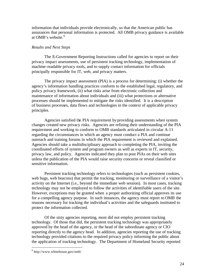information that individuals provide electronically, so that the American public has assurances that personal information is protected. All OMB privacy guidance is available at OMB's website.<sup>6</sup>

#### *Results and Next Steps*

The E-Government Reporting Instructions called for agencies to report on their privacy impact assessments, use of persistent tracking technology, implementation of machine-readable privacy tools, and to supply contact information for officials principally responsible for IT, web, and privacy matters.

The privacy impact assessment (PIA) is a process for determining: (i) whether the agency's information handling practices conform to the established legal, regulatory, and policy privacy framework, (ii) what risks arise from electronic collection and maintenance of information about individuals and (iii) what protections or alternative processes should be implemented to mitigate the risks identified. It is a description of business processes, data flows and technologies in the context of applicable privacy principles.

Agencies satisfied the PIA requirement by providing assessments when system changes created new privacy risks. Agencies are refining their understanding of the PIA requirement and working to conform to OMB standards articulated in circular A-11 regarding the circumstances in which an agency must conduct a PIA and continue outreach and training forums in which the PIA requirement is reviewed and explained. Agencies should take a multidisciplinary approach to completing the PIA, inviting the coordinated efforts of system and program owners as well as experts in IT, security, privacy law, and policy. Agencies indicated they plan to post PIAs on their web sites unless the publication of the PIA would raise security concerns or reveal classified or sensitive information.

Persistent tracking technology refers to technologies (such as persistent cookies, web bugs, web beacons) that permit the tracking, monitoring or surveillance of a visitor's activity on the Internet (i.e., beyond the immediate web session). In most cases, tracking technology may not be employed to follow the activities of identifiable users of the site. However, exceptions may be granted when a proper authorizing official approves its use for a compelling agency purpose. In such instances, the agency must report to OMB the reasons necessary for tracking the individual's activities and the safeguards instituted to protect the information collected.

Of the sixty agencies reporting, most did not employ persistent tracking technology. Of those that did, the persistent tracking technology was appropriately approved by the head of the agency, or the head of the subordinate agency or CIO reporting directly to the agency head. In addition, agencies reporting the use of tracking technology provided citations to the required privacy policy informing the public about the application of tracking technology. The Department of Homeland Security reported

 $\overline{a}$ 

 $6$  http://www.whitehouse.gov/omb/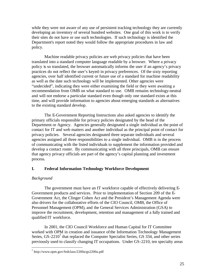while they were not aware of any use of persistent tracking technology they are currently developing an inventory of several hundred websites. One goal of this work is to verify their sites do not have or use such technologies. If such technology is identified the Department's report noted they would follow the appropriate procedures in law and policy.

Machine readable privacy policies are web privacy policies that have been translated into a standard computer language readable by a browser. Where a privacy policy is so translated, the browser automatically informs the user if an agency's privacy practices do not reflect the user's keyed-in privacy preferences. Of the sixty reporting agencies, over half identified current or future use of a standard for machine readability as well as the date such technology will be implemented. Other agencies were "undecided", indicating they were either examining the field or they were awaiting a recommendation from OMB on what standard to use. OMB remains technology-neutral and will not endorse a particular standard even though only one standard exists at this time, and will provide information to agencies about emerging standards as alternatives to the existing standard develop.

The E-Government Reporting Instructions also asked agencies to identify the primary officials responsible for privacy policies designated by the head of the Department or Agency. Agencies generally designated a single individual as the point of contact for IT and web matters and another individual as the principal point of contact for privacy policies. Several agencies designated three separate individuals and several agencies assigned all three responsibilities to a single individual. OMB is in the process of communicating with the listed individuals to supplement the information provided and develop a contact roster. By communicating with all three principals, OMB can ensure that agency privacy officials are part of the agency's capital planning and investment process.

# **I. Federal Information Technology Workforce Development**

# *Background*

 $\overline{a}$ 

The government must have an IT workforce capable of effectively delivering E-Government products and services. Prior to implementation of Section 209 of the E-Government Act, the Clinger Cohen Act and the President's Management Agenda were also drivers for the collaborative efforts of the CIO Council, OMB, the Office of Personnel Management (OPM), and the General Services Administration (GSA) to improve the recruitment, development, retention and management of a fully trained and qualified IT workforce.

In 2001, the CIO Council Workforce and Human Capital for IT Committee worked with OPM in creation and issuance of the Information Technology Management Series, GS-2210<sup>7</sup> that replaced the Computer Specialist Series, GS 334, and other series previously used to classify changing IT occupations. Under GS-2210, ten specialty areas

<sup>7</sup> http://www.opm.gov/fedclass/2200a/gs2200a.pdf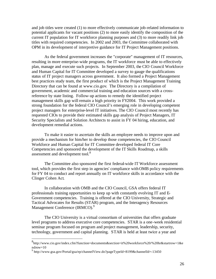and job titles were created (1) to more effectively communicate job-related information to potential applicants for vacant positions (2) to more easily identify the composition of the current IT population for IT workforce planning purposes and (3) to more readily link job titles with required competencies. In 2002 and 2003, the Committee collaborated with OPM in its development of interpretive guidance for IT Project Management positions.

As the federal government increases the "corporate" management of IT resources, resulting in more enterprise-wide programs, the IT workforce must be able to effectively plan, manage and execute such projects. In September 2003, the CIO Council Workforce and Human Capital for IT Committee developed a survey to gauge the qualifications status of IT project managers across government. It also formed a Project Management best practices study team, the first product of which is the Project Management Training Directory that can be found at www.cio.gov. The Directory is a compilation of government, academic and commercial training and education sources with a crossreference by state listing. Follow-up actions to remedy the identified project management skills gap will remain a high priority in FY2004. This work provided a strong foundation for the federal CIO Council's emerging role in developing competent project managers for enterprise-level IT initiatives. The CIO Council most recently has requested CIOs to provide their estimated skills gap analysis of Project Managers, IT Security Specialists and Solution Architects to assist in FY 04 hiring, education, and development remedial actions.

To make it easier to ascertain the skills an employee needs to improve upon and provide a mechanism for him/her to develop those competencies, the CIO Council Workforce and Human Capital for IT Committee developed federal IT Core Competencies and sponsored the development of the IT Skills Roadmap, a skills assessment and development tool.<sup>8</sup>

The Committee also sponsored the first federal-wide IT Workforce assessment tool, which provides the first step in agencies' compliance with OMB policy requirements for FY 04 to conduct and report annually on IT workforce skills in accordance with the Clinger Cohen Act.

In collaboration with OMB and the CIO Council, GSA offers federal IT professionals training opportunities to keep up with constantly evolving IT and E-Government competencies. Training is offered at the CIO University, Strategic and Tactical Advocates for Results (STAR) program, and the Interagency Resources Management Conference (IRMCO).<sup>9</sup>

The CIO University is a virtual consortium of universities that offers graduate level programs to address executive core competencies. STAR is a one-week residential seminar program focused on program and project management, leadership, security, technology, government and capital planning. STAR is held at least twice a year and

<sup>8&</sup>lt;br>http://www.cio.gov/index.cfm?function=documents&section=it%20workforce%20/%20hr&startrow=1&e ndrow=10

<sup>&</sup>lt;sup>9</sup> http://www.gsa.gov/Portal/gsa/ep/channelView.do?pageTypeId=8199&channelId=-13450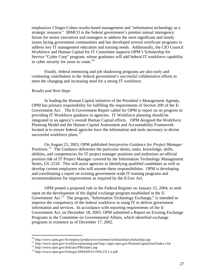emphasizes Clinger-Cohen results-based management and "information technology as a strategic resource." IRMCO is the federal government's premier annual interagency forum for senior executives and managers to address the most significant and timely issues facing government communities and has developed several certificate programs to address key IT management education and training needs. Additionally, the CIO Council Workforce and Human Capital for IT Committee supports OPM's Scholarship for Service "Cyber Corp" program, whose graduates will add federal IT workforce capability in cyber security for years to come. $10$ 

Finally, federal mentoring and job shadowing programs are also early and continuing contributors to the federal government's successful collaborative efforts to meet the changing and increasing need for a strong IT workforce.

#### *Results and Next Steps*

In leading the Human Capital initiative of the President's Management Agenda, OPM has primary responsibility for fulfilling the requirements of Section 209 of the E-Government Act. The E-Government Report called for OPM to report on its progress in providing IT Workforce guidance to agencies. IT Workforce planning should be integrated in an agency's overall Human Capital efforts. OPM designed the Workforce Planning Model and the Human Capital Assessment and Accountability Framework located at to ensure federal agencies have the information and tools necessary to devise successful workforce plans. $11$ 

On August 23, 2003, OPM published *Interpretive Guidance for Project Manager*  Positions.<sup>12</sup> The Guidance delineates the particular duties, tasks, knowledge, skills, abilities, and competencies for IT project manager positions and authorizes an official position title of IT Project Manager covered by the Information Technology Management Series, GS-2210. This will assist agencies in identifying qualified candidates as well as develop current employees who will assume these responsibilities. OPM is developing and coordinating a report on existing government-wide IT training programs and recommendations for improvement as required by the E-Gov Act.

OPM posted a proposed rule in the Federal Register on January 15, 2004, to seek input on the development of the digital exchange program established in the E-Government Act.<sup>13</sup> The program, "Information Technology Exchange," is intended to improve the competency of the federal workforce in using IT to deliver government information and services. In accordance with reporting requirements of the E-Government Act, on December 18, 2003, OPM submitted a Report on Existing Exchange Programs to the Committee on Governmental Affairs, which identified exchange programs in existence as of December 17, 2002.

 $\overline{a}$ 

<sup>&</sup>lt;sup>10</sup> http://www.opm.gov/hr/employ/products/recruitment/scholarship/scholarship.asp

<sup>11</sup> http://www.opm.gov/workforceplanning and http://apps.opm.gov/HumanCapital/tool/index.cfm

<sup>&</sup>lt;sup>12</sup> http://www.opm.gov/fedclass/PM/index.asp

<sup>13</sup> http://www.opm.gov/fedregis/2004/69-011504-2311-a.pdf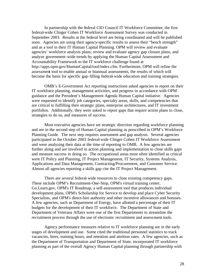In partnership with the federal CIO Council IT Workforce Committee, the first federal-wide Clinger Cohen IT Workforce Assessment Survey was conducted in September 2003. Results at the federal level are being coordinated and will be published soon. Agencies are using their agency-specific results to assess their "bench strength" and as a tool in their IT Human Capital Planning. OPM will review and evaluate agencies' workforce analysis plans; review and evaluate agency gap closure plans, and analyze government-wide trends by applying the Human Capital Assessment and Accountability Framework to the IT workforce challenge found at http://apps.opm.gov/HumanCapital/tool/index.cfm. Furthermore, OPM will refine the assessment tool to enable annual or biannual assessments, the results of which will become the basis for specific gap-filling federal-wide education and training strategies.

OMB's E-Government Act reporting instructions asked agencies to report on their IT workforce planning, management activities, and progress in accordance with OPM guidance and the President's Management Agenda Human Capital initiative. Agencies were requested to identify job categories, specialty areas, skills, and competencies that are critical to fulfilling their strategic plans, enterprise architectures, and IT investment portfolios. Additionally, they were asked to report gaps that require action plans to close, strategies to do so, and measures of success.

Most executive agencies have set strategic direction regarding workforce planning and are in the second step of Human Capital planning as prescribed in OPM's Workforce Planning Guide. The next step requires assessment and gap analysis. Several agencies participated in the October 2003 federal-wide Clinger Cohen IT Workforce Assessment and were analyzing their data at the time of reporting to OMB. A few agencies are further along and are involved in action planning and implementation to close skills gaps and measure success in doing so. The occupational areas most often identified as critical were IT Policy and Planning, IT Project Management, IT Security, Systems Analysis, Applications and Data Management, Contracting/Procurement, and Customer Service. Almost all agencies reporting a skills gap cite the IT Project Management.

There are several federal-wide resources to close existing competency gaps. These include OPM's Recruitment-One-Stop, OPM's virtual training center, Go.Learn.gov, OPM's IT Roadmap, a self-assessment tool that produces individual development plans, OPM's Scholarship for Service to develop and place Cyber Security Specialists, and OPM's direct-hire authority and other incentive allowances and bonuses. A few agencies, such as Department of Energy, have allotted a percentage of their IT budgets for the development of their IT workforce. The Department of State and Department of Veterans Affairs were one of the first Departments to streamline the recruitment process through the use of electronic recruitment and assessment tools.

Agency performance measures relative to IT workforce planning are in the early stages of development and use. Some cited the traditional personnel statistics to track vacancies, hires, training hours, and retention and attrition rates. A few agencies, such as the Department of Transportation and Department of State, incorporated IT workforce planning as part of the overall Agency Human Capital planning through partnership with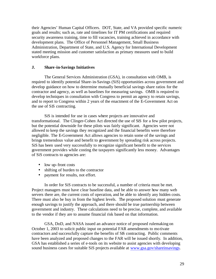their Agencies' Human Capital Officers. DOT, State, and VA provided specific numeric goals and results; such as, rate and timelines for IT PM certifications and required security awareness training, time to fill vacancies, training achieved in accordance with development plans. The Office of Personnel Management, Small Business Administration, Department of State, and U.S. Agency for International Development stated meeting mission and customer satisfaction as primary measures used to build workforce plans.

# **J. Share-in-Savings Initiatives**

The General Services Administration (GSA), in consultation with OMB, is required to identify potential Share-in-Savings (SiS) opportunities across government and develop guidance on how to determine mutually beneficial savings share ratios for the contractor and agency, as well as baselines for measuring savings. OMB is required to develop techniques in consultation with Congress to permit an agency to retain savings, and to report to Congress within 2 years of the enactment of the E-Government Act on the use of SiS contracting.

SiS is intended for use in cases where projects are innovative and transformational. The Clinger-Cohen Act directed the use of SiS for a few pilot projects, but the potential downside for these pilots was fairly significant. Agencies were not allowed to keep the savings they recognized and the financial benefits were therefore negligible. The E-Government Act allows agencies to retain some of the savings and brings tremendous value and benefit to government by spreading risk across projects. SiS has been used very successfully to recognize significant benefit to the services government provides while costing the taxpayers significantly less money. Advantages of SiS contracts to agencies are:

- low up-front costs
- shifting of burden to the contractor
- payment for results, not effort.

In order for SiS contracts to be successful, a number of criteria must be met. Project managers must have clear baseline data, and be able to answer how many web servers there are, the current costs of operation, and be able to identify any hidden costs. There must also be buy in from the highest levels. The proposed solution must generate enough savings to justify the approach, and there should be true partnership between government and industry. These calculations need to be precise, complete, and available to the vendor if they are to assume financial risk based on that information.

GSA, DoD, and NASA issued an advance notice of proposed rulemaking on October 1, 2003 to solicit public input on potential FAR amendments to motivate contractors and successfully capture the benefits of SS contracting. Public comments have been analyzed and proposed changes to the FAR will be issued shortly. In addition, GSA has established a series of e-tools on its website to assist agencies with developing sound business cases for suitable SiS projects available at www.gsa.gov/shareinsavings.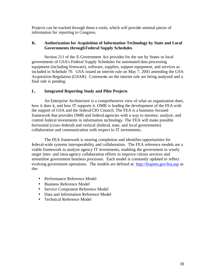Projects can be tracked through these e-tools, which will provide seminal pieces of information for reporting to Congress.

# **K. Authorization for Acquisition of Information Technology by State and Local Governments through Federal Supply Schedules**

Section 211 of the E-Government Act provides for the use by States or local governments of GSA's Federal Supply Schedules for automated data processing equipment (including firmware), software, supplies, support equipment, and services as included in Schedule 70. GSA issued an interim rule on May 7, 2003 amending the GSA Acquisition Regulation (GSAR). Comments on the interim rule are being analyzed and a final rule is pending.

# **L. Integrated Reporting Study and Pilot Projects**

An Enterprise Architecture is a comprehensive view of what an organization does, how it does it, and how IT supports it. OMB is leading the development of the FEA with the support of GSA and the federal CIO Council. The FEA is a business-focused framework that provides OMB and federal agencies with a way to monitor, analyze, and control federal investments in information technology. The FEA will make possible horizontal (cross-federal) and vertical (federal, state, and local governments) collaboration and communication with respect to IT investments.

The FEA framework is nearing completion and identifies opportunities for federal-wide systems interoperability and collaboration. The FEA reference models are a viable framework to analyze agency IT investments, enabling the government to wisely target inter- and intra-agency collaboration efforts to improve citizen services and streamline government business processes. Each model is constantly updated to reflect evolving government operations. The models are defined at: http://feapmo.gov/fea.asp as the:

- Performance Reference Model
- Business Reference Model
- Service Component Reference Model
- Data and Information Reference Model
- Technical Reference Model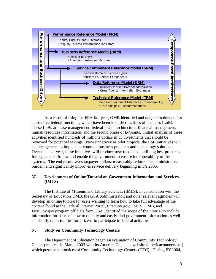

As a result of using the FEA last year, OMB identified and targeted redundancies across five federal functions, which have been identified as lines of business (LoB). These LoBs are case management, federal health architecture, financial management, human resources information, and the second phase of E-Grants. Initial analysis of these activities identified hundreds of millions dollars in IT investments that should be reviewed for potential savings. Now underway as pilot projects, the LoB initiatives will enable agencies to implement common business practices and technology solutions. Over the next year, these initiatives will produce new roadmaps outlining best practices for agencies to follow and enable the government to ensure interoperability of the systems. The end result saves taxpayer dollars, measurably reduces the administrative burden, and significantly improves service delivery beginning in FY2005.

# **M. Development of Online Tutorial on Government Information and Services (IMLS)**

The Institute of Museum and Library Sciences (IMLS), in consultation with the Secretary of Education, OMB, the GSA Administrator, and other relevant agencies will develop an online tutorial for users wanting to learn how to take full advantage of the content found at the Federal Internet Portal, FirstGov.gov. IMLS, OMB, and FirstGov.gov program officials from GSA identified the scope of the tutorial to include information for users on how to quickly and easily find government information as well as identify opportunities for citizens to participate in federal activities.

# **N. Study on Community Technology Centers**

The Department of Education began an evaluation of Community Technology Center practices in March 2003 with its America Connects website (americaconnects.net) which posts best practices of Community Technology Centers (CTC). During FY 2004,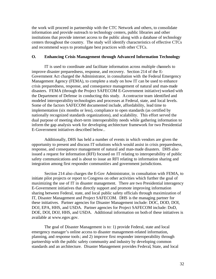the work will proceed in partnership with the CTC Network and others, to consolidate information and provide outreach to technology centers, public libraries and other institutions that provide internet access to the public along with a database of technology centers throughout the country. The study will identify characteristics of effective CTCs and recommend ways to promulgate best practices with other CTCs.

#### **O. Enhancing Crisis Management through Advanced Information Technology**

IT is used to coordinate and facilitate information across multiple channels to improve disaster preparedness, response, and recovery. Section 214 of the E-Government Act charged the Administrator, in consultation with the Federal Emergency Management Agency (FEMA), to complete a study on how IT can be used to enhance crisis preparedness, response, and consequence management of natural and man-made disasters. FEMA (through the Project SAFECOM E-Government initiative) worked with the Department of Defense in conducting this study. A contractor team identified and modeled interoperability technologies and processes at Federal, state, and local levels. Some of the factors SAFECOM documented include, affordability, lead time to implementation (six months or less), compliance to open standards (as certified by nationally recognized standards organizations), and scalability. This effort served the dual purpose of meeting short-term interoperability needs while gathering information to inform the gap analysis work for developing architecture framework for two Presidential E-Government initiatives described below..

Additionally, DHS has held a number of events in which vendors are given the opportunity to present and discuss IT solutions which would assist in crisis preparedness, response, and consequence management of natural and man-made disasters. DHS also issued a request for information (RFI) focused on IT relating to interoperability of public safety communications and is about to issue an RFI relating to information sharing and integration among first responder communities and government jurisdictions.

Section 214 also charges the E-Gov Administrator, in consultation with FEMA, to initiate pilot projects or report to Congress on other activities which further the goal of maximizing the use of IT in disaster management. There are two Presidential interagency E-Government initiatives that directly support and promote improving information sharing between Federal, state, and local public safety officials through maximization of IT, Disaster Management and Project SAFECOM. DHS is the managing partner for these initiatives. Partner agencies for Disaster Management include: DOC, DOD, DOI, DOJ, EPA, HHS, and USDA. Partner agencies for Project SAFECOM include: DoD, DOE, DOI, DOJ, HHS, and USDA. Additional information on both of these initiatives is available at www.egov.gov.

The goal of Disaster Management is to: 1) provide Federal, state and local emergency manager's online access to disaster management-related information, planning, and response tools; and 2) improve first responder interoperability through partnership with the public safety community and industry by developing common standards and an architecture. Disaster Management provides Federal, State, and local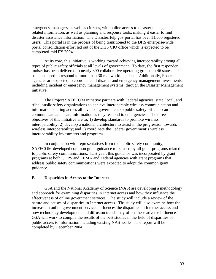emergency managers, as well as citizens, with online access to disaster managementrelated information, as well as planning and response tools, making it easier to find disaster assistance information. The DisasterHelp.gov portal has over 11,500 registered users. This portal is in the process of being transitioned to the DHS enterprise-wide portal consolidation effort led out of the DHS CIO office which is expected to be completed mid FY 2004.

At its core, this initiative is working toward achieving interoperability among all types of public safety officials at all levels of government. To date, the first responder toolset has been delivered to nearly 300 collaborative operating groups in 46 states and has been used to respond to more than 30 real-world incidents. Additionally, Federal agencies are expected to coordinate all disaster and emergency management investments, including incident or emergency management systems, through the Disaster Management initiative.

The Project SAFECOM initiative partners with Federal agencies, state, local, and tribal public safety organizations to achieve interoperable wireless communication and information sharing across all levels of government so public safety officials can communicate and share information as they respond to emergencies. The three objectives of this initiative are to: 1) develop standards to promote wireless interoperability; 2) develop a national architecture to assist in the progression towards wireless interoperability; and 3) coordinate the Federal government's wireless interoperability investments and programs.

In conjunction with representatives from the public safety community, SAFECOM developed common grant guidance to be used by all grant programs related to public safety communications. Last year, this guidance was incorporated by grant programs at both COPS and FEMA and Federal agencies with grant programs that address public safety communications were expected to adopt the common grant guidance.

#### **P. Disparities in Access to the Internet**

GSA and the National Academy of Science (NAS) are developing a methodology and approach for examining disparities in Internet access and how they influence the effectiveness of online government services. The study will include a review of the nature and causes of disparities in Internet access. The study will also examine how the increase in online government services influences the disparities in Internet access and how technology development and diffusion trends may offset these adverse influences. GSA will work to compile the results of the best studies in the field of disparities of public access to information including existing NAS works. The report will be completed by December 2004.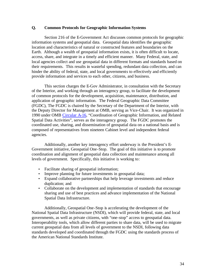#### **Q. Common Protocols for Geographic Information Systems**

Section 216 of the E-Government Act discusses common protocols for geographic information systems and geospatial data. Geospatial data identifies the geographic location and characteristics of natural or constructed features and boundaries on the Earth. Although a wealth of geospatial information exists, it is often difficult to locate, access, share, and integrate in a timely and efficient manner. Many Federal, state, and local agencies collect and use geospatial data in different formats and standards based on their requirements. This results in wasteful spending, redundant data collection, and can hinder the ability of federal, state, and local governments to effectively and efficiently provide information and services to each other, citizens, and business.

This section charges the E-Gov Administrator, in consultation with the Secretary of the Interior, and working through an interagency group, to facilitate the development of common protocols for the development, acquisition, maintenance, distribution, and application of geographic information. The Federal Geographic Data Committee (FGDC), The FGDC is chaired by the Secretary of the Department of the Interior, with the Deputy Director for Management at OMB, serving as Vice-Chair. It was organized in 1990 under OMB Circular A-16, "Coordination of Geographic Information, and Related Spatial Data Activities", serves as the interagency group. The FGDC promotes the coordinated use, sharing, and dissemination of geospatial data on a national basis and is composed of representatives from nineteen Cabinet level and independent federal agencies.

Additionally, another key interagency effort underway is the President's E-Government initiative, Geospatial One-Stop. The goal of this initiative is to promote coordination and alignment of geospatial data collection and maintenance among all levels of government. Specifically, this initiative is working to:

- Facilitate sharing of geospatial information;
- Improve planning for future investments in geospatial data;
- Expand collaborative partnerships that help leverage investments and reduce duplication; and
- Collaborate on the development and implementation of standards that encourage sharing and use of best practices and advance implementation of the National Spatial Data Infrastructure.

Additionally, Geospatial One-Stop is accelerating the development of the National Spatial Data Infrastructure (NSDI), which will provide federal, state, and local governments, as well as private citizens, with "one-stop" access to geospatial data. Interoperability tools, which allow different parties to share data, will be used to migrate current geospatial data from all levels of government to the NSDI, following data standards developed and coordinated through the FGDC using the standards process of the American National Standards Institute.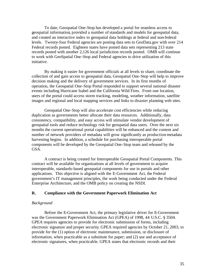To date, Geospatial One-Stop has developed a portal for seamless access to geospatial information, provided a number of standards and models for geospatial data, and created an interactive index to geospatial data holdings at federal and non-federal levels. Twenty-four Federal agencies are posting data sets to GeoData.gov with over 214 Federal records posted. Eighteen states have posted data sets representing 213 state records posted with another 2,126 local jurisdiction records posted. OMB will continue to work with GeoSpatial One-Stop and Federal agencies to drive utilization of this initiative.

By making it easier for government officials at all levels to share, coordinate the collection of and gain access to geospatial data, Geospatial One-Stop will help to improve decision making and the delivery of government services. In its first months of operation, the Geospatial One-Stop Portal responded to support several national disaster events including Hurricane Isabel and the California Wild Fires. From one location, users of the portal could access storm tracking, modeling, weather information, satellite images and regional and local mapping services and links to disaster planning web sites.

Geospatial One-Stop will also accelerate cost efficiencies while reducing duplication as governments better allocate their data resources. Additionally, data consistency, compatibility, and easy access will stimulate vendor development of geospatial tools and reduce technology risk for geospatial data users. Over the next six months the current operational portal capabilities will be enhanced and the content and number of network providers of metadata will grow significantly as production metadata harvesting begins. In addition, a schedule for purchasing interoperable portal components will be developed by the Geospatial One-Stop team and released by the GSA.

A contract is being created for Interoperable Geospatial Portal Components. This contract will be available for organizations at all levels of government to acquire interoperable, standards-based geospatial components for use in portals and other applications. This objective is aligned with the E-Government Act, the Federal government's IT management principles, the work being conducted under the Federal Enterprise Architecture, and the OMB policy on creating the NSDI.

### **R. Compliance with the Government Paperwork Elimination Act**

#### *Background*

Before the E-Government Act, the primary legislative driver for E-Government was the Government Paperwork Elimination Act (GPEA) of 1998, 44 U.S.C. § 3504. GPEA requires agencies to provide for electronic submission of forms, including electronic signature and proper security. GPEA required agencies by October 21, 2003, to provide for the (1) option of electronic maintenance, submission, or disclosure of information, when practicable as a substitute for paper; and (2) use and acceptance of electronic signatures, when practicable. GPEA states that electronic records and their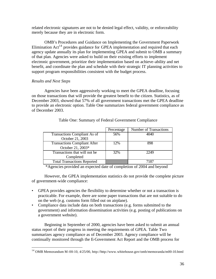related electronic signatures are not to be denied legal effect, validity, or enforceability merely because they are in electronic form.

OMB's Procedures and Guidance on Implementing the Government Paperwork Elimination  $Act^{14}$  provides guidance for GPEA implementation and required that each agency update annually its plan for implementing GPEA and submit to OMB a summary of that plan. Agencies were asked to build on their existing efforts to implement electronic government, prioritize their implementation based on achieve-ability and net benefit, and coordinate the plan and schedule with their strategic IT planning activities to support program responsibilities consistent with the budget process.

# *Results and Next Steps*

 $\overline{a}$ 

Agencies have been aggressively working to meet the GPEA deadline, focusing on those transactions that will provide the greatest benefit to the citizen. Statistics, as of December 2003, showed that 57% of all government transactions met the GPEA deadline to provide an electronic option. Table One summarizes federal government compliance as of December 2003.

|                                     | Percentage | <b>Number of Transactions</b> |
|-------------------------------------|------------|-------------------------------|
| Transactions Compliant As of        | 56%        | 4040                          |
| October 21, 2003                    |            |                               |
| <b>Transactions Compliant After</b> | 12%        | 898                           |
| October 21, 2003*                   |            |                               |
| Transactions that will not be       | 32%        | 2249                          |
| Completed                           |            |                               |
| <b>Total Transactions Reported</b>  |            | 7187                          |

# Table One: Summary of Federal Government Compliance

\*Agencies provided an expected date of completion of 2004 and beyond

However, the GPEA implementation statistics do not provide the complete picture of government-wide compliance:

- GPEA provides agencies the flexibility to determine whether or not a transaction is practicable. For example, there are some paper transactions that are not suitable to do on the web (e.g. customs form filled out on airplane).
- Compliance data include data on both transactions (e.g. forms submitted to the government) and information dissemination activities (e.g. posting of publications on a government website).

Beginning in September of 2000, agencies have been asked to submit an annual status report of their progress in meeting the requirements of GPEA. Table Two summarizes agency compliance as of December 2003. Agency compliance will be continually monitored through the E-Government Act Report and the OMB process for

<sup>14</sup> OMB Memorandum M-00-10, 4/25/00, http://http://www.whitehouse.gov/omb/memoranda/m00-10.html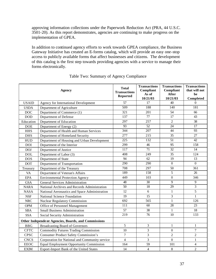approving information collections under the Paperwork Reduction Act (PRA, 44 U.S.C. 3501-20). As this report demonstrates, agencies are continuing to make progress on the implementation of GPEA.

In addition to continued agency efforts to work towards GPEA compliance, the Business Gateway Initiative has created an E-forms catalog, which will provide an easy one-stop access to publicly available forms that affect businesses and citizens. The development of this catalog is the first step towards providing agencies with a service to manage their forms electronically.

|              | <b>Agency</b>                                       | <b>Total</b><br><b>Transactions</b><br>Reported | <b>Transactions</b><br>Compliant<br>As of<br>10/21/03 | <b>Transactions</b><br>Compliant<br><b>After</b><br>10/21/03 | <b>Transactions</b><br>that will not<br>be<br>Completed |
|--------------|-----------------------------------------------------|-------------------------------------------------|-------------------------------------------------------|--------------------------------------------------------------|---------------------------------------------------------|
| <b>USAID</b> | Agency for International Development                | 57                                              | 17                                                    | 40                                                           | $\Omega$                                                |
| <b>USDA</b>  | Department of Agriculture                           | 509                                             | 188                                                   | 140                                                          | 181                                                     |
| <b>DOC</b>   | Department of Commerce (1)                          | 321                                             | 201                                                   | 54                                                           | 66                                                      |
| DOD          | Department of Defense                               | 137                                             | 77                                                    | 17                                                           | 43                                                      |
| Education    | Department of Education                             | 297                                             | 257                                                   | $\overline{2}$                                               | 38                                                      |
| <b>DOE</b>   | Department of Energy (2)                            | 93                                              | 52                                                    | 24                                                           | 17                                                      |
| <b>HHS</b>   | Department of Health and Human Services             | 344                                             | 207                                                   | 44                                                           | 93                                                      |
| <b>DHS</b>   | Department of Homeland Security                     | 277                                             | 215                                                   | 35                                                           | 27                                                      |
| <b>HUD</b>   | Department of Housing and Urban Development         | 225                                             | 132                                                   | 51                                                           | 42                                                      |
| <b>DOI</b>   | Department of the Interior                          | 299                                             | 46                                                    | 95                                                           | 158                                                     |
| <b>DOJ</b>   | Department of Justice                               | 117                                             | 71                                                    | 32                                                           | 14                                                      |
| <b>DOL</b>   | Department of Labor (3)                             | 408                                             | 249                                                   | 35                                                           | 124                                                     |
| <b>DOS</b>   | Department of State                                 | 94                                              | 62                                                    | 19                                                           | 13                                                      |
| <b>DOT</b>   | Department of Transportation                        | 290                                             | 290                                                   | $\boldsymbol{0}$                                             | $\overline{0}$                                          |
| Treasury     | Department of the Treasury                          | 708                                             | 297                                                   | 50                                                           | 361                                                     |
| <b>VA</b>    | Department of Veteran's Affairs                     | 189                                             | 158                                                   | 5                                                            | 26                                                      |
| <b>EPA</b>   | <b>Environmental Protection Agency</b>              | 449                                             | 103                                                   | $\boldsymbol{0}$                                             | 346                                                     |
| <b>GSA</b>   | <b>General Services Administration</b>              | 48                                              | 30                                                    | 9                                                            | 9                                                       |
| <b>NARA</b>  | National Archives and Records Administration        | 50                                              | 18                                                    | 29                                                           | 3                                                       |
| <b>NASA</b>  | National Aeronautics and Space Administration       | 12                                              | 6                                                     | $\mathbf{1}$                                                 | 5                                                       |
| <b>NSF</b>   | National Science Foundation                         | 19                                              | 15                                                    | 3                                                            | $\mathbf{1}$                                            |
| <b>NRC</b>   | <b>Nuclear Regulatory Commission</b>                | 692                                             | 565                                                   | $\mathbf{1}$                                                 | 126                                                     |
| <b>OPM</b>   | Office of Personnel Management                      | 111                                             | 60                                                    | 28                                                           | 23                                                      |
| <b>SBA</b>   | <b>Small Business Administration</b>                | 57                                              | 38                                                    | $\mathbf{1}$                                                 | 18                                                      |
| <b>SSA</b>   | Social Security Administration                      | 219                                             | 76                                                    | 10                                                           | 133                                                     |
|              | Other Independent Agencies, Boards, and Commissions |                                                 |                                                       |                                                              |                                                         |
| <b>BBG</b>   | <b>Broadcasting Board of Governors</b>              | 5                                               | 3                                                     | $\mathbf{1}$                                                 | $\mathbf{1}$                                            |
| <b>CFTC</b>  | <b>Commodity Futures Trading Commission</b>         | 10                                              | 3                                                     | $\boldsymbol{0}$                                             | $\boldsymbol{7}$                                        |
| <b>CPSC</b>  | <b>Consumer Product Safety Commission's</b>         | 7                                               | 3                                                     | $\mathfrak{2}$                                               | $\overline{2}$                                          |
| <b>CNCS</b>  | Corporation for National and Community service      | $\overline{4}$                                  | 3                                                     | $\overline{0}$                                               | $\mathbf{1}$                                            |
| <b>EEOC</b>  | <b>Equal Employment Opportunity Commission</b>      | 164                                             | 59                                                    | 101                                                          | $\overline{4}$                                          |
| <b>EXIM</b>  | Export-Import Bank of the United States             | 14                                              | $\overline{4}$                                        | $8\,$                                                        | $\overline{c}$                                          |

# Table Two: Summary of Agency Compliance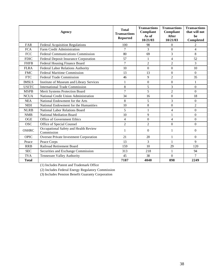|              | Agency                                              | <b>Total</b><br><b>Transactions</b><br><b>Reported</b> | <b>Transactions</b><br>Compliant<br>As of<br>10/21/03 | <b>Transactions</b><br>Compliant<br><b>After</b><br>10/21/03 | <b>Transactions</b><br>that will not<br>be<br>Completed |
|--------------|-----------------------------------------------------|--------------------------------------------------------|-------------------------------------------------------|--------------------------------------------------------------|---------------------------------------------------------|
| <b>FAR</b>   | <b>Federal Acquisition Regulations</b>              | 100                                                    | 98                                                    | 0                                                            | 2                                                       |
| <b>FCA</b>   | Farm Credit Administration                          | $\overline{7}$                                         | $\mathcal{E}$                                         | $\Omega$                                                     | 4                                                       |
| <b>FCC</b>   | <b>Federal Communications Commission</b>            | 80                                                     | 69                                                    | 3                                                            | 8                                                       |
| <b>FDIC</b>  | Federal Deposit Insurance Corporation               | 57                                                     | 1                                                     | 4                                                            | 52                                                      |
| <b>FHFB</b>  | Federal Housing Finance Board                       | 7                                                      | $\overline{c}$                                        | $\overline{c}$                                               | 3                                                       |
| <b>FLRA</b>  | Federal Labor Relations Authority                   | 10                                                     | $\Omega$                                              | $\theta$                                                     | 10                                                      |
| <b>FMC</b>   | <b>Federal Maritime Commission</b>                  | 13                                                     | 13                                                    | $\theta$                                                     | $\Omega$                                                |
| <b>FTC</b>   | <b>Federal Trade Commission</b>                     | 46                                                     | 9                                                     | $\overline{c}$                                               | 35                                                      |
| <b>IMSLS</b> | Institute of Museum and Library Services            | 1                                                      | $\Omega$                                              | $\theta$                                                     | 1                                                       |
| <b>USITC</b> | International Trade Commission                      | 8                                                      | 5                                                     | 3                                                            | $\Omega$                                                |
| <b>MSPB</b>  | Merit Systems Protection Board                      | 7                                                      | 5                                                     | $\overline{c}$                                               | $\Omega$                                                |
| <b>NCUA</b>  | National Credit Union Administration                | 34                                                     | 16                                                    | $\theta$                                                     | 18                                                      |
| <b>NEA</b>   | National Endowment for the Arts                     | 8                                                      | 5                                                     | 3                                                            | $\Omega$                                                |
| <b>NEH</b>   | National Endowment for the Humanities               | 10                                                     | 8                                                     | $\boldsymbol{0}$                                             | $\overline{2}$                                          |
| <b>NLRB</b>  | National Labor Relations Board                      | 5                                                      | 1                                                     | $\overline{4}$                                               | $\Omega$                                                |
| <b>NMB</b>   | <b>National Mediation Board</b>                     | 10                                                     | 9                                                     | 1                                                            | $\Omega$                                                |
| OGE          | Office of Government Ethics                         | 4                                                      | $\Omega$                                              | 4                                                            | $\Omega$                                                |
| <b>OSC</b>   | Office of Special Counsel                           | $\overline{c}$                                         | $\overline{c}$                                        | $\theta$                                                     | $\Omega$                                                |
| <b>OSHRC</b> | Occupational Safety and Health Review<br>Commission | 1                                                      | $\Omega$                                              | 1                                                            | $\Omega$                                                |
| <b>OPIC</b>  | Oversee Private Investment Corporation              | 21                                                     | 20                                                    | 1                                                            | $\Omega$                                                |
| Peace        | Peace Corps                                         | 13                                                     | 3                                                     | 1                                                            | 9                                                       |
| <b>RRB</b>   | Railroad Retirement Board                           | 159                                                    | 10                                                    | 29                                                           | 120                                                     |
| <b>SEC</b>   | Securities and Exchange Commission                  | 313                                                    | 218                                                   | 1                                                            | 94                                                      |
| <b>TVA</b>   | Tennessee Valley Authority                          | 45                                                     | 38                                                    | $\Omega$                                                     | 7                                                       |
| <b>Total</b> |                                                     | 7187                                                   | 4040                                                  | 898                                                          | 2249                                                    |

(1) Includes Patent and Trademark Office

(2) Includes Federal Energy Regulatory Commission

(3) Includes Pension Benefit Guaranty Corporation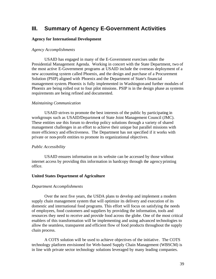# **III. Summary of Agency E-Government Activities**

## **Agency for International Development**

## *Agency Accomplishments*

USAID has engaged in many of the E-Government exercises under the Presidential Management Agenda. Working in concert with the State Department, two of the most active E-Government programs at USAID include the overseas deployment of a new accounting system called Phoenix, and the design and purchase of a Procurement Solution (PSIP) aligned with Phoenix and the Department of State's financial management system. Phoenix is fully implemented in Washingtonand further modules of Phoenix are being rolled out to four pilot missions. PSIP is in the design phase as systems requirements are being refined and documented.

## *Maintaining Communication*

USAID strives to promote the best interests of the public by participating in workgroups such as USAID/Department of State Joint Management Council (JMC). These entities use this forum to develop policy solutions through a variety of shared management challenges in an effort to achieve their unique but parallel missions with more efficiency and effectiveness. The Department has not specified if it works with private or non-profit entities to promote its organizational objectives.

## *Public Accessibility*

USAID ensures information on its website can be accessed by those without internet access by providing this information in hardcopy through the agency printing office.

## **United States Department of Agriculture**

## *Department Accomplishments*

Over the next five years, the USDA plans to develop and implement a modern supply chain management system that will optimize its delivery and execution of its domestic and international food programs. This effort will focus on satisfying the needs of employees, food customers and suppliers by providing the information, tools and resources they need to receive and provide food across the globe. One of the most critical enablers of this transformation will be implementing and using advanced technologies to allow the seamless, transparent and efficient flow of food products throughout the supply chain process.

A COTS solution will be used to achieve objectives of the initiative. The COTS technology platform envisioned for Web-based Supply Chain Management (WBSCM) is in line with private sector technology solutions leveraged by many leading companies.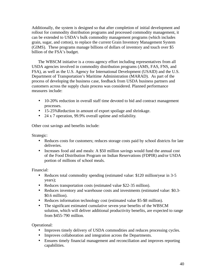Additionally, the system is designed so that after completion of initial development and rollout for commodity distribution programs and processed commodity management, it can be extended to USDA's bulk commodity management programs (which includes grain, sugar, and cotton), to replace the current Grain Inventory Management System (GIMS). These programs manage billions of dollars of inventory and touch over \$5 billion of the FSA's budget.

The WBSCM initiative is a cross-agency effort including representatives from all USDA agencies involved in commodity distribution programs (AMS, FAS, FNS, and FSA), as well as the U.S. Agency for International Development (USAID) and the U.S. Department of Transportation's Maritime Administration (MARAD). As part of the process of developing the business case, feedback from USDA business partners and customers across the supply chain process was considered. Planned performance measures include:

- 10-20% reduction in overall staff time devoted to bid and contract management processes.
- 15-25% Reduction in amount of export spoilage and shrinkage.
- 24 x 7 operation, 99.9% overall uptime and reliability.

Other cost savings and benefits include:

Strategic:

- Reduces costs for customers; reduces storage costs paid by school districts for late deliveries.
- Increases food aid and meals: A \$50 million savings would fund the annual cost of the Food Distribution Program on Indian Reservations (FDPIR) and/or USDA portion of millions of school meals.

Financial:

- Reduces total commodity spending (estimated value: \$120 million/year in 3-5 years);
- Reduces transportation costs (estimated value \$22-35 million).
- Reduces inventory and warehouse costs and investments (estimated value: \$0.3- \$0.6 million).
- Reduces information technology cost (estimated value \$5-\$8 million).
- The significant estimated cumulative seven-year benefits of the WBSCM solution, which will deliver additional productivity benefits, are expected to range from \$455-790 million.

Operational:

- Improves timely delivery of USDA commodities and reduces processing cycles.
- Improves collaboration and integration across the Departments.
- Ensures timely financial management and reconciliation and improves reporting capabilities.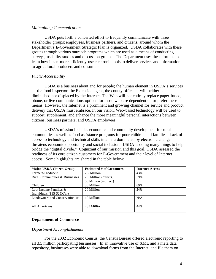#### *Maintaining Communication*

USDA puts forth a concerted effort to frequently communicate with three stakeholder groups: employees, business partners, and citizens, around whom the Department's E-Government Strategic Plan is organized. USDA collaborates with these groups through various outreach programs which are used as a means of conducting surveys, usability studies and discussion groups. The Department uses these forums to learn how it can more efficiently use electronic tools to deliver services and information to agricultural producers and consumers.

## *Public Accessibility*

USDA is a business about and for people; the human element in USDA's services — the food inspector, the Extension agent, the county office — will neither be diminished nor displaced by the Internet. The Web will not entirely replace paper-based, phone, or live communications options for those who are dependent on or prefer these means. However, the Internet is a prominent and growing channel for service and product delivery that USDA must embrace. In our vision, Web-based technology will be used to support, supplement, and enhance the more meaningful personal interactions between citizens, business partners, and USDA employees.

USDA's mission includes economic and community development for rural communities as well as food assistance programs for poor children and families. Lack of access to technology and technical skills in an era dominated by electronic change threatens economic opportunity and social inclusion. USDA is doing many things to help bridge the "digital divide." Cognizant of our mission and this goal, USDA assessed the readiness of its core citizen customers for E-Government and their level of Internet access. Some highlights are shared in the table below:

| <b>Major USDA Citizen Group</b> | <b>Estimated # of Customers</b> | <b>Internet Access</b> |
|---------------------------------|---------------------------------|------------------------|
| Farmers/Producers               | 2.2 Million                     | 43%                    |
| Rural Communities & Businesses  | 2.5 Million (direct),           | 39%                    |
|                                 | 50 Million (indirect)           |                        |
| Children                        | 30 Million                      | 89%                    |
| Low-Income Families $\&$        | 20 Million                      | 24%                    |
| Individuals $(\$15-\$25K/yr)$   |                                 |                        |
| Landowners and Conservationists | 10 Million                      | N/A                    |
|                                 |                                 |                        |
| All Americans                   | 285 Million                     | 44%                    |
|                                 |                                 |                        |

## **Department of Commerce**

## *Department Accomplishments*

For the 2002 Economic Census, the Census Bureau offered electronic reporting to all 3.5 million participating businesses. In an innovative use of XML and a meta data repository, businesses were able to download forms from the Internet, and file them on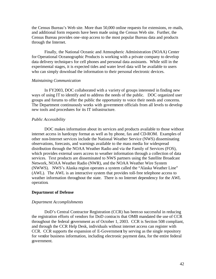the Census Bureau's Web site. More than 50,000 online requests for extensions, re-mails, and additional form requests have been made using the Census Web site. Further, the Census Bureau provides one-stop access to the most popular Bureau data and products through the Internet.

Finally, the National Oceanic and Atmospheric Administration (NOAA) Center for Operational Oceanographic Products is working with a private company to develop data delivery technique s for cell phones and personal data assistants. While still in the experimental stages, it is expected tides and water level data will be available to users who can simply download the information to their personal electronic devices.

#### *Maintaining Communication*

In FY2003, DOC collaborated with a variety of groups interested in finding new ways of using IT to identify and to address the needs of the public. DOC organized user groups and forums to offer the public the opportunity to voice their needs and concerns. The Department continuously works with government officials from all levels to develop new tools and procedures for its IT infrastructure.

## *Public Accessibility*

DOC makes information about its services and products available to those without internet access in hardcopy format as well as by phone, fax and CD-ROM. Examples of other non-Internet services include the National Weather Service (NWS) disseminating observations, forecasts, and warnings available to the mass media for widespread distribution through the NOAA Weather Radio and via the Family of Services (FOS), which provides external users access to weather information through a collection of data services. Text products are disseminated to NWS partners using the Satellite Broadcast Network, NOAA Weather Radio (NWR), and the NOAA Weather Wire System (NWWS). NWS's Alaska region operates a system called the "Alaska Weather Line" (AWL). The AWL is an interactive system that provides toll-free telephone access to weather information throughout the state. There is no Internet dependency for the AWL operation.

## **Department of Defense**

#### *Department Accomplishments*

DoD's Central Contractor Registration (CCR) has been so successful in reducing the registration efforts of vendors for DoD contracts that OMB mandated the use of CCR throughout the federal government as of October 1, 2003. CCR is Section 508 compliant, and through the CCR Help Desk, individuals without internet access can register with CCR. CCR supports the expansion of E-Government by serving as the single repository for vendor business information, including electronic payment data, for the entire federal government.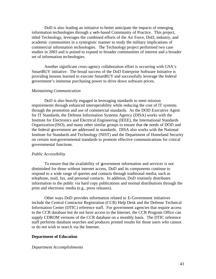DoD is also leading an initiative to better anticipate the impacts of emerging information technologies through a web-based Community of Practice. This project, titled Technology, leverages the combined efforts of the Air Force, DoD, industry, and academic communities in a synergistic manner to study the military implications of commercial information technologies. The Technology project performed two case studies in 2003 and is poised to expand to broader communities of interest and a broader set of information technologies.

Another significant cross-agency collaboration effort is occurring with GSA's SmartBUY initiative. The broad success of the DoD Enterprise Software Initiative is providing lessons learned to execute SmartBUY and successfully leverage the federal government's immense purchasing power to drive down software prices.

### *Maintaining Communication*

DoD is also heavily engaged in leveraging standards to meet mission requirements through enhanced interoperability while reducing the cost of IT systems through the promotion and use of commercial standards. As the DOD Executive Agent for IT Standards, the Defense Information Systems Agency (DISA) works with the Institute for Electronics and Electrical Engineering (IEEE), the International Standards Organization (ISO), and many other similar groups to ensure that the needs of DOD and the federal government are addressed in standards. DISA also works with the National Institute for Standards and Technology (NIST) and the Department of Homeland Security on certain non-governmental standards to promote effective communications for critical governmental functions.

#### *Public Accessibility*

To ensure that the availability of government information and services is not diminished for those without internet access, DoD and its components continue to respond to a wide range of queries and contacts through traditional media, such as telephone, mail, fax, and personal contacts. In addition, DoD routinely distributes information to the public via hard copy publications and normal distributions through the print and electronic media (e.g., press releases).

Other ways DoD provides information related to E-Government initiatives include the Central Contractor Registration (CCR) Help Desk and the Defense Technical Information Center (DTIC) reference staff. For government agencies that require access to the CCR database but do not have access to the Internet, the CCR Program Office can supply CDROM versions of the CCR database on a monthly basis. The DTIC reference staff performs database searches and produces printed results for those users who cannot or do not wish to search via the Internet.

### **Department of Education**

#### *Department Accomplishments*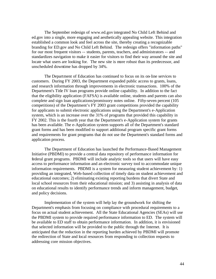The September redesign of www.ed.gov integrated No Child Left Behind and ed.gov into a single, more engaging and aesthetically appealing website. This integration established a common look and feel across the site, thereby creating a recognizable branding for ED.gov and No Child Left Behind. The redesign offers "information paths" for our most frequent visitors -- students, parents, teachers, and administrators -- and standardizes navigation to make it easier for visitors to find their way around the site and locate what users are looking for. The new site is more robust than its predecessor, and unscheduled downtime has dropped by 34%.

The Department of Education has continued to focus on its on-line services to customers. During FY 2003, the Department expanded public access to grants, loans, and research information through improvements in electronic transactions. 100% of the Department's Title IV loan programs provide online capability. In addition to the fact that the eligibility application (FAFSA) is available online, students and parents can also complete and sign loan applications/promissory notes online. Fifty-seven percent (105 competitions) of the Department's FY 2003 grant competitions provided the capability for applicants to submit electronic applications using the Department's e-Application system, which is an increase over the 31% of programs that provided this capability in FY 2002. This is the fourth year that the Department's e-Application system for grants has been available. The e-Application system supports all of the Department's standard grant forms and has been modified to support additional program specific grant forms and requirements for grant programs that do not use the Department's standard forms and application process.

The Department of Education has launched the Performance-Based Management Initiative (PBDMI) to provide a central data repository of performance information for federal grant programs. PBDMI will include analytic tools so that users will have easy access to performance information and an electronic survey tool to accommodate unique information requirements. PBDMI is a system for measuring student achievement by: 1) providing an integrated, Web-based collection of timely data on student achievement and educational outcomes; 2) eliminating existing reporting burdens that divert State and local school resources from their educational mission; and 3) assisting in analysis of data on educational results to identify performance trends and inform management, budget, and policy decisions.

Implementation of the system will help lay the groundwork for shifting the Department's emphasis from focusing on compliance with procedural requirements to a focus on actual student achievement. All the State Educational Agencies (SEAs) will use the PBDMI system to provide required performance information to ED. The system will be available to ED staff to obtain performance information. In addition, it is envisioned that selected information will be provided to the public through the Internet. It is anticipated that the reduction in the reporting burden achieved by PBDMI will promote the redirection of State and local resources from responding to collection requests to addressing core mission objectives.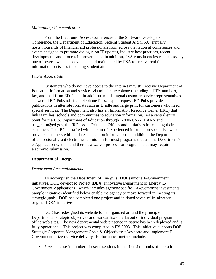#### *Maintaining Communication*

From the Electronic Access Conferences to the Software Developers Conference, the Department of Education, Federal Student Aid (FSA) annually hosts thousands of financial aid professionals from across the nation at conferences and events designed to promote dialogue on IT updates, industry best practices, recent developments and process improvements. In addition, FSA constituencies can access any one of several websites developed and maintained by FSA to receive real-time information on issues impacting student aid.

## *Public Accessibility*

Customers who do not have access to the Internet may still receive Department of Education information and services via toll-free telephone (including a TTY number), fax, and mail from ED Pubs. In addition, multi-lingual customer service representatives answer all ED Pubs toll-free telephone lines. Upon request, ED Pubs provides publications in alternate formats such as Braille and large print for customers who need special services. The Department also has an Information Resource Center (IRC) that links families, schools and communities to education information. As a central entry point for the U.S. Department of Education through 1-800-USA-LEARN and usa learn@ed.gov, the IRC assists Principal Offices and initiatives in reaching their customers. The IRC is staffed with a team of experienced information specialists who provide customers with the latest education information. In addition, the Department offers optional grant electronic submission for most programs that use the Department's e-Application system, and there is a waiver process for programs that may require electronic submission.

## **Department of Energy**

## *Department Accomplishments*

To accomplish the Department of Energy's (DOE) unique E-Government initiatives, DOE developed Project IDEA (Innovative Department of Energy E-Government Applications), which includes agency-specific E-Government investments. Sample initiatives identified below enable the agency to move forward in meeting its strategic goals. DOE has completed one project and initiated seven of its nineteen original IDEA initiatives.

DOE has redesigned its website to be organized around the principle Departmental strategic objectives and standardizes the layout of individual program office web sites. The new departmental web presence initiative has been deployed and is fully operational. This project was completed in FY 2003. This initiative supports DOE Strategic Corporate Management Goals & Objectives: "Advocate and implement E-Government citizen service delivery. Performance metrics include:

• 50% increase in number of user's sessions in the first six months of operation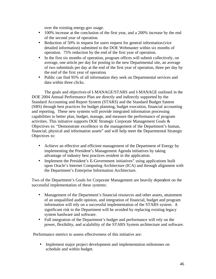over the existing energy.gov usage.

- 100% increase at the conclusion of the first year, and a 200% increase by the end of the second year of operation.
- Reduction of 50% in request for users request for general information (vice detailed information) submitted to the DOE Webmaster within six months of operation. 75% reduction by the end of the first year of operation.
- In the first six months of operation, program offices will submit collectively, on average, one article per day for posting to the new Departmental site, an average of two submittals per day at the end of the first year of operation, three per day by the end of the first year of operation.
- Public can find 95% of all information they seek on Departmental services and data within three clicks.

The goals and objectives of I-MANAGE/STARS and I-MANAGE outlined in the DOE 2004 Annual Performance Plan are directly and indirectly supported by the Standard Accounting and Report System (STARS) and the Standard Budget System (SBS) through best practices for budget planning, budget execution, financial accounting and reporting. These new systems will provide integrated information processing capabilities to better plan, budget, manage, and measure the performance of program activities. This initiative supports DOE Strategic Corporate Management Goals & Objectives to: "Demonstrate excellence in the management of the Department's human, financial, physical and information assets" and will help meet the Departmental Strategic Objectives to:

- Achieve an effective and efficient management of the Department of Energy by implementing the President's Management Agenda initiatives by taking advantage of industry best practices resident in the application.
- Implement the President's E-Government initiatives" using applications built upon Oracle's Internet Computing Architecture (ICA) and through alignment with the Department's Enterprise Information Architecture.

Two of the Department's Goals for Corporate Management are heavily dependent on the successful implementation of these systems:

- Management of the Department's financial resources and other assets, attainment of an unqualified audit opinion, and integration of financial, budget and program information will rely on a successful implementation of the STARS system. A significant risk to the Department will be avoided by replacing existing legacy system hardware and software.
- Full integration of the Department's budget and performance will rely on the power, flexibility, and scalability of the STARS System architecture and software.

Performance metrics to assess effectiveness of this initiative are:

• Implement major project development and implementation milestones on schedule and within budget.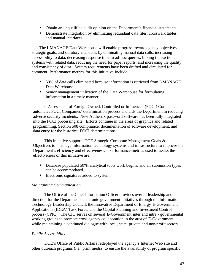- Obtain an unqualified audit opinion on the Department's financial statements.
- Demonstrate integration by eliminating redundant data files, crosswalk tables, and manual interfaces.

The I-MANAGE Data Warehouse will enable progress toward agency objectives, strategic goals, and statutory mandates by eliminating manual data calls, increasing accessibility to data, decreasing response time to ad-hoc queries, linking transactional systems with related data, reduc ing the need for paper reports, and increasing the quality and consistency of data. System requirements have been drafted and circulated for comment. Performance metrics for this initiative include:

- 50% of data calls eliminated because information is retrieved from I-MANAGE Data Warehouse.
- Senior management utilization of the Data Warehouse for formulating information in a timely manner.

e-Assessment of Foreign Owned, Controlled or Influenced (FOCI) Companies automates FOCI Companies' determination process and aids the Department in reducing adverse security incidents. New Authentix password software has been fully integrated into the FOCI processing site. Efforts continue in the areas of graphics and related programming, Section 508 compliance, documentation of software development, and data entry for the historical FOCI determinations.

This initiative supports DOE Strategic Corporate Management Goals & Objectives to "manage information technology systems and infrastructure to improve the Department's efficiency and effectiveness." Performance metrics used to assess the effectiveness of this initiative are:

- Database populated 50%, analytical tools work begins, and all submission types can be accommodated.
- Electronic signatures added to system.

## *Maintaining Communication*

The Office of the Chief Information Officer provides overall leadership and direction for the Departments electronic government initiatives through the Information Technology Leadership Council, the Innovative Department of Energy E-Government Applications (IDEA) Task Force, and the Capital Planning and Investment Control process (CPIC). The CIO serves on several E-Government inter and intra - governmental working groups to promote cross agency collaboration in the area of E-Government, while maintaining a continued dialogue with local, state, private and non-profit sectors.

## *Public Accessibility*

DOE's Office of Public Affairs redeployed the agency's Internet Web site and other outreach programs (i.e., print media) to ensure the availability of program specific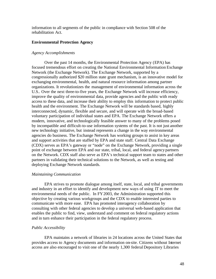information to all segments of the public in compliance with Section 508 of the rehabilitation Act.

## **Environmental Protection Agency**

## *Agency Accomplishments*

Over the past 14 months, the Environmental Protection Agency (EPA) has focused tremendous effort on creating the National Environmental Information Exchange Network (the Exchange Network). The Exchange Network, supported by a congressionally authorized \$20 million state grant mechanism, is an innovative model for exchanging environmental, health, and natural resource information among partner organizations. It revolutionizes the management of environmental information across the U.S.. Over the next three-to-five years, the Exchange Network will increase efficiency, improve the quality of environmental data, provide agencies and the public with ready access to these data, and increase their ability to employ this information to protect public health and the environment. The Exchange Network will be standards based, highly interconnected, dynamic, flexible and secure, and will operate with the broad-based voluntary participation of individual states and EPA. The Exchange Network offers a modern, innovative, and technologically feasible answer to many of the problems posed by incompatible and difficult-to-use information systems of the past. It is not just another new technology initiative, but instead represents a change in the way environmental agencies do business. The Exchange Network has working groups to assist in key areas and support activities that are staffed by EPA and state staff. Central Data Exchange (CDX) serves as EPA's gateway or "node" on the Exchange Network, providing a single point of exchange between EPA and our state, tribal, local, and federal agencypartners on the Network. CDX staff also serve as EPA's technical support team to states and other partners in validating their technical solutions to the Network, as well as testing and deploying Exchange Network standards.

## *Maintaining Communication*

EPA strives to promote dialogue among itself, state, local, and tribal governments and industry in an effort to identify and development new ways of using IT to meet the environmental needs of the public. In FY2003, the Administration supported this objective by creating various workgroups and the CDX to enable interested parties to communicate with more ease. EPA has promoted interagency collaboration by consulting with other federal agencies to develop a universal web-based application that enables the public to find, view, understand and comment on federal regulatory actions and in turn enhance their participation in the federal regulatory process.

## *Public Accessibility*

EPA maintains a network of libraries in 24 locations across the United States that provides access to Agency documents and information on-site. Citizens without Internet access are also encouraged to visit one of the nearly 1,300 federal Depository Libraries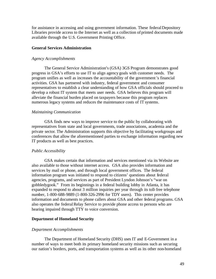for assistance in accessing and using government information. These federal Depository Libraries provide access to the Internet as well as a collection of printed documents made available through the U.S. Government Printing Office.

#### **General Services Administration**

#### *Agency Accomplishments*

The General Service Administration's (GSA) 3GS Program demonstrates good progress in GSA's efforts to use IT to align agency goals with customer needs. The program unifies as well as increases the accountability of the government's financial activities. GSA has partnered with industry, federal government and consumer representatives to establish a clear understanding of how GSA officials should proceed to develop a robust IT system that meets user needs. GSA believes this program will alleviate the financial burden placed on taxpayers because this program replaces numerous legacy systems and reduces the maintenance costs of IT systems.

#### *Maintaining Communication*

GSA finds new ways to improve service to the public by collaborating with representatives from state and local governments, trade associations, academia and the private sector. The Administration supports this objective by facilitating workgroups and conferences that allow the aforementioned parties to exchange information regarding new IT products as well as best practices.

## *Public Accessibility*

GSA makes certain that information and services mentioned via its Website are also available to those without internet access. GSA also provides information and services by mail or phone, and through local government offices. The federal information program was initiated to respond to citizens' questions about federal agencies, programs, and services as part of President Lyndon Johnson's "war on gobbledygook." From its beginnings in a federal building lobby in Atlanta, it has expanded to respond to about 3 million inquiries per year through its toll-free telephone number, 1-800-688-9889 (1-800-326-2996 for TDY users). This center provides information and documents to phone callers about GSA and other federal programs. GSA also operates the federal Relay Service to provide phone access to persons who are hearing impaired through TTY to voice conversion.

## **Department of Homeland Security**

#### *Department Accomplishments*

The Department of Homeland Security (DHS) uses IT and E-Government in a number of ways to meet both its primary homeland security missions such as securing our nation's borders, ports, and transportation systems as well as its other non-homeland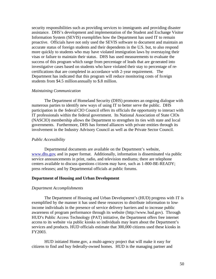security responsibilities such as providing services to immigrants and providing disaster assistance. DHS's development and implementation of the Student and Exchange Visitor Information System (SEVIS) exemplifies how the Department has used IT to remain proactive. Officials have not only used the SEVIS software to document and maintain an accurate status of foreign students and their dependents in the U.S. but, to also respond more quickly to students who may have violated immigration laws by overstaying their visas or failure to maintain their status. DHS has used measurements to evaluate the success of this program which range from percentage of leads that are generated into investigative cases based on students who have violated their stay to percentage of recertifications that are completed in accordance with 2-year requirement. The Department has indicated that this program will reduce monitoring costs of foreign students from \$4.5 million annually to \$.8 million.

### *Maintaining Communication*

The Department of Homeland Security (DHS) promotes an ongoing dialogue with numerous parties to identify new ways of using IT to better serve the public. DHS participation in the federal CIO Council offers its officials the opportunity to interact with IT professionals within the federal government. Its National Association of State CIOs (NASCIO) membership allows the Department to strengthen its ties with state and local governments. Furthermore, DHS has formed alliances with private entities through its involvement in the Industry Advisory Council as well as the Private Sector Council.

#### *Public Accessibility*

Departmental documents are available on the Department's website, www.dhs.gov, and in paper format. Additionally, information is disseminated via public service announcements in print, radio, and television mediums; there are telephone centers available to discuss questions citizens may have, such as 1-800-BE-READY; press releases; and by Departmental officials at public forums.

## **Department of Housing and Urban Development**

#### *Department Accomplishments*

The Department of Housing and Urban Development's (HUD) progress with IT is exemplified by the manner it has used these resources to distribute information to lowincome individuals in the presence of service delivery barriers and to increase public awareness of program performance through its website (http://www.hud.gov). Through HUD's Public Access Technology (PAT) initiative, the Department offers free internet access to its website via public kiosks so individuals may learn about the Department's services and products. HUD officials estimate that 300,000 citizens used these kiosks in FY2003.

HUD initiated Home.gov, a multi-agency project that will make it easy for citizens to find and buy federally-owned homes. HUD is the managing partner and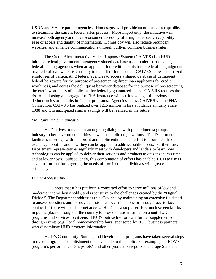USDA and VA are partner agencies. Homes.gov will provide an online sales capability to streamline the current federal sales process. More importantly, the initiative will increase both agency and buyer/consumer access by offering better search capability, ease of access and quality of information. Homes.gov will also reduce redundant websites, and enhance communications through built-in common business rules.

The Credit Alert Interactive Voice Response System (CAIVRS) is a HUDinitiated federal government interagency shared database used to alert participating federal lending agenc ies when an applicant for credit benefits has a federal lien judgment or a federal loan which is currently in default or foreclosure. CAIVRS allows authorized employees of participating federal agencies to access a shared database of delinquent federal borrowers for the purpose of pre-screening direct loan applicants for credit worthiness, and access the delinquent borrower database for the purpose of pre-screening the credit worthiness of applicants for federally guaranteed loans. CAIVRS reduces the risk of endorsing a mortgage for FHA insurance without knowledge of previous delinquencies or defaults in federal programs. Agencies access CAIVRS via the FHA Connection. CAIVRS has realized over \$215 million in loss avoidance annually since 1988 and it is anticipated similar savings will be realized in the future.

## *Maintaining Communication*

HUD strives to maintain an ongoing dialogue with public interest groups, industry, other government entities as well as public organizations. The Department facilitates meetings with non-profit and public entities in an effort to promote a free exchange about IT and how they can be applied to address public needs. Furthermore, Department representatives regularly meet with developers and lenders to learn how technologies can be applied to deliver their services and products to citizens in less time and at lower costs. Subsequently, this combination of efforts has enabled HUD to use IT as an instrument for targeting the needs of low-income individuals with greater efficiency.

## *Public Accessibility*

HUD notes that it has put forth a concerted effort to serve millions of low and moderate income households, and is sensitive to the challenges created by the "Digital Divide." The Department addresses this "Divide" by maintaining an extensive field staff to answer questions and to provide assistance over the phone or through face-to-face contact for those without Internet access. HUD has also placed 106 touch-screen kiosks in public places throughout the country to provide basic information about HUD programs and services to citizens. HUD's outreach efforts are further supplemented through events (e.g., local homeownership fairs) sponsored by HUD business partners who disseminate HUD program information.

HUD's Community Planning and Development programs have taken several steps to make program accomplishment data available to the public. For example, the HOME program's performance "Snapshots" and other production reports encourage State and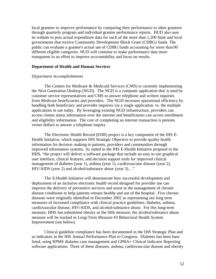local grantees to improve performance by comparing their performance to other grantees through quarterly program and individual grantee performance reports. HUD also uses its website to post actual expenditure data for each of the more than 1,100 State and local governments that receive Community Development Block Grant (CDBG) funds. The public can evaluate a grantee's actual use of CDBG funds accounting for more than 90 different eligible categories. HUD will continue to make performance data more transparent in an effort to improve accountability and focus on results.

#### **Department of Health and Human Services**

## *Department Accomplishments*

The Centers for Medicare & Medicaid Services (CMS) is currently implementing the Next Generation Desktop (NGD). The NGD is a computer application that is used by customer service representatives and CMS to answer telephone and written inquiries from Medicare beneficiaries and providers. The NGD increases operational efficiency by handling both beneficiary and provider inquiries via a single application vs. the multiple applications in use today. By leveraging existing NGD infrastructure, providers can access claims status information over the internet and beneficiaries can access enrollment and eligibility information. The cost of completing an internet transaction is pennies verses dollars to answer a telephone inquiry.

The Electronic Health Record (EHR) project is a key component of the IHS E-Health Initiative, which supports IHS Strategic Objective to provide quality health information for decision making to patients, providers and communities through improved information systems. As stated in the IHS E-Health Initiative proposal to the HHS, "the project will deliver a software package that include an easy to use graphical user interface, clinical features, and decision support tools for improved clinical management of diabetes (year 1), asthma (year 1), cardiovascular disease (year 2), HIV/AIDS (year 2) and alcohol/substance abuse (year 3)…"

The E-Health Initiative will demonstrate how successful development and deployment of an inclusive electronic health record designed for provider use can improve the delivery of preventive services and assist in the management of chronic disease conditions to help patients remain healthy and out of the hospital. Five chronic diseases were originally identified in December 2002 as representing our long term measures of increased compliance with clinical practice guidelines: diabetes, asthma, cardiovascular disease, HIV/AIDS, and alcohol/substance abuse. For this long-term measure, HHS has substituted obesity as the fifth measure; the alcohol/substance abuse measure will be tracked in Long-Term Measure #3 Behavioral Health System Improvement (see below).

Clinical guideline compliance has been documented in the IHS Strategic Plan and as indicators in the IHS Annual Performance Plan to Congress. Diabetes has been base lined, using RPMS diabetes case management and GPRA+ Clinical Indicator Reporting software applications. Three of these diseases, asthma, cardiovascular disease and obesity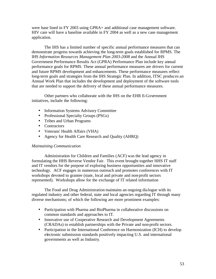were base lined in FY 2003 using GPRA+ and additional case management software. HIV care will have a baseline available in FY 2004 as well as a new case management application.

The IHS has a limited number of specific annual performance measures that can demonstrate progress towards achieving the long-term goals established for RPMS. The IHS *Information Resources Management Plan 2003-2008* and the Annual IHS Government Performance Results Act (GPRA) Performance Plan include key annual performance goals for RPMS. These annual performance measures are drivers for current and future RPMS development and enhancements. These performance measures reflect long-term goals and strategies from the IHS Strategic Plan. In addition, ITSC produces an Annual Work Plan that includes the development and deployment of the software tools that are needed to support the delivery of these annual performance measures.

Other partners who collaborate with the IHS on the EHR E-Government initiatives, include the following:

- Information Systems Advisory Committee
- Professional Specialty Groups (PSGs)
- Tribes and Urban Programs
- Contractors
- Veterans' Health Affairs (VHA)
- Agency for Health Care Research and Quality (AHRQ)

## *Maintaining Communication*

Administration for Children and Families (ACF) was the lead agency in formulating the HHS Reverse Vendor Fair. This event brought together HHS IT staff and IT vendors for the purpose of exploring business opportunities and innovative technology. ACF engages in numerous outreach and promotes conferences with IT workshops devoted to grantee (state, local and private and non-profit sectors represented). Workshops allow for the exchange of IT related information

The Food and Drug Administration maintains an ongoing dia logue with its regulated industry and other federal, state and local agencies regarding IT through many diverse mechanisms; of which the following are more prominent examples:

- Participation with Pharma and BioPharma in collaborative discussions on common standards and approaches to IT.
- Innovative use of Cooperative Research and Development Agreements (CRADAs) to establish partnerships with the Private and non-profit sectors.
- Participation in the International Conference on Harmonization (ICH) to develop electronic submission standards positively impacting U.S. and international governments as well as Industry.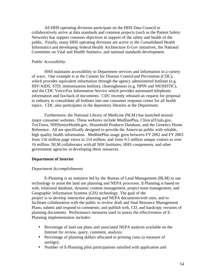All HHS operating divisions participate on the HHS Data Council to collaboratively arrive at data standards and common projects (such as the Patient Safety Network) that support common objectives in support of the safety and health of the public. Finally, many HHS operating divisions are active in the Consolidated Health Informatics and developing federal Health Architecture E-Gov initiatives, the National Committee on Vital and Health Statistics, and national standards development.

## *Public Accessibility*

HHS maintains accessibility to Department services and information in a variety of ways. One example is at the Centers for Disease Control and Prevention (CDC), which provides equivalent information through the agency administered hotlines (e.g. HIV/AIDS, STD, immunization hotline), clearinghouses (e.g. NPIN and NIOSHTIC), and the CDC Voice/Fax Information Service which provides automated telephonic information and fax-back of documents. CDC recently released an request for proposal to industry to consolidate all hotlines into one consumer response center for all health topics. CDC also participates in the depository libraries at the Department.

Furthermore, the National Library of Medicine (NLM) has launched several major consumer websites. These websites include MedlinePlus, ClinicalTrials.gov, ToxTown, NIHSeniorHealth.gov, Household Products Database, and the Genetics Home Reference. All are specifically designed to provide the American public with reliable, high quality health information. MedlinePlus usage grew between FY2002 and FY 2003 from 116 million page views to 214 million; and from 9.5 million unique visitors to over 16 million. NLM collaborates with all NIH Institutes, HHS components, and other government agencies in developing these resources.

## **Department of Interior**

#### *Department Accomplishments*

E-Planning is an initiative led by the Bureau of Land Management (BLM) to use technology to assist the land use planning and NEPA processes. E-Planning is based on web, relational database, dynamic content management, project team management, and Geographic Information Systems (GIS) technology. The goal of the project is to develop interactive planning and NEPA documents/web sites, and to facilitate collaboration with the public to review draft and final Resource Management Plans; submit and respond to comments; and publish web, CD, and hardcopy versions of planning documents. Performance measures used to assess the effectiveness of E-Planning implementation includes:

- Percentage of land use plans and associated NEPA analysis available on the Internet for review, query, comment, analysis;
- Percentage of planning dollars allocated to printing costs (a measure of savings);
- Number of E-Planning pilot participations satisfied with application and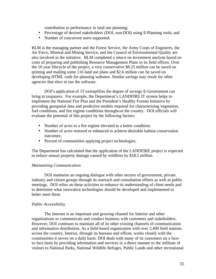contribution to performance in land use planning;

- Percentage of desired stakeholders (DOI, non-DOI) using E-Planning tools; and
- Number of concurrent users supported.

BLM is the managing partner and the Forest Service, the Army Corps of Engineers, the Air Force, Mineral and Mining Service, and the Council of Environmental Quality are also involved in the initiative. BLM completed a return on investment analysis based on costs of preparing and publishing Resource Management Plans in its field offices. Over the 10 year lifecycle of the project, a very conservative \$8.25 million can be saved on printing and mailing some 116 land use plans and \$2.6 million can be saved on developing HTML code for planning websites. Similar savings may result for other agencies that elect to use the software.

DOI's application of IT exemplifies the degree of savings E-Government can bring to taxpayers. For example, the Department's LANDFIRE IT system helps to implement the National Fire Plan and the President's Healthy Forests Initiative by providing geospatial data and predictive models required for characterizing vegetation, fuel conditions, and fire regime conditions throughout the country. DOI officials will evaluate the potential of this project by the following factors:

- Number of acres in a fire regime elevated to a better condition;
- Number of acres restored or enhanced to achieve desirable habitat conservation outcomes;
- Percent of communities applying project technologies.

The Department has calculated that the application of the LANDFIRE project is expected to reduce annual property damage caused by wildfires by \$18.5 million.

## *Maintaining Communication*

DOI maintains an ongoing dialogue with other sectors of government, private industry and citizen groups through its outreach and consultation efforts as well as public meetings. DOI relies on these activities to enhance its understanding of client needs and to determine what innovative technologies should be developed and implemented to better meet them.

## *Public Accessibility*

The Internet is an important and growing channel for Interior and other organizations to communicate and conduct business with customers and stakeholders. However, DOI continues to maintain all of its other existing channels of communication and information distribution. As a field-based organization with over 2,400 field stations across the country, Interior, through its bureaus and offices, works closely with the communities it serves on a daily basis. DOI deals with many of its customers on a faceto-face basis by providing information and services in a direct manner to the millions of visitors to National Parks, National Wildlife Refuges, Public Lands and other recreational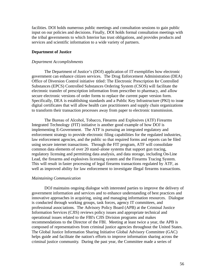facilities. DOI holds numerous public meetings and consultation sessions to gain public input on our policies and decisions. Finally, DOI holds formal consultation meetings with the tribal governments to which Interior has trust obligations, and provides products and services and scientific information to a wide variety of partners.

## **Department of Justice**

## *Department Accomplishments*

The Department of Justice's (DOJ) application of IT exemplifies how electronic government can enhance citizen services. The Drug Enforcement Administration (DEA) Office of Diversion Control initiative titled: The Electronic Prescription for Controlled Substances (EPCS) Controlled Substances Ordering System (CSOS) will facilitate the electronic transfer of prescription information from prescriber to pharmacy, and allow secure electronic versions of order forms to replace the current paper version form. Specifically, DEA is establishing standards and a Public Key Infrastructure (PKI) to issue digital certificates that will allow health care practitioners and supply chain organizations to transform their transaction processes away from paper to electronic transmission.

The Bureau of Alcohol, Tobacco, Firearms and Explosives (ATF) Firearms Integrated Technology (FIT) initiative is another good example of how DOJ is implementing E-Government. The ATF is pursuing an integrated regulatory and enforcement strategy to provide electronic filing capabilities for the regulated industries, law enforcement agencies, and the public so that required forms and reports can be filed using secure internet transactions. Through the FIT program, ATF will consolidate common data elements of over 20 stand-alone systems that support gun tracing, regulatory licensing and permitting data analysis, and data storage, including On-Line Lead, the firearms and explosives licensing system and the Firearms Tracing System. This will result in faster processing of legal firearms transactions regulated by ATF, as well as improved ability for law enforcement to investigate illegal firearms transactions.

#### *Maintaining Communication*

DOJ maintains ongoing dialogue with interested parties to improve the delivery of government information and services and to enhance understanding of best practices and innovative approaches in acquiring, using and managing information resources. Dialogue is conducted through working groups, task forces, agency IT committees, and professional associations. The Advisory Policy Board (APB) at the Criminal Justice Information Services (CJIS) reviews policy issues and appropriate technical and operational issues related to the FBI's CJIS Division programs and makes recommendations to the Director of the FBI. Meeting at least twice a year, the APB is composed of representatives from criminal justice agencies throughout the United States. The Global Justice Information Sharing Initiative Global Advisory Committee (GAC) helps guide and facilitate the nation's efforts to improve information sharing across the criminal justice community. During the past year, the Committee made a series of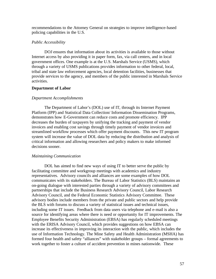recommendations to the Attorney General on strategies to improve intelligence-based policing capabilities in the U.S.

#### *Public Accessibility*

DOJ ensures that information about its activities is available to those without Internet access by also providing it in paper form, fax, via call centers, and in local government offices. One example is at the U.S. Marshals Service (USMS), which through a variety of USMS publications provides information to other federal, local, tribal and state law enforcement agencies, local detention facilities, businesses that provide services to the agency, and members of the public interested in Marshals Service activities.

#### **Department of Labor**

## *Department Accomplishments*

The Department of Labor's (DOL) use of IT, through its Internet Payment Platform (IPP) and Statistical Data Collection/ Information Dissemination Programs, demonstrates how E-Government can reduce costs and promote efficiency. IPP decreases the burden of taxpayers by unifying the tracking and payment of vendor invoices and enabling cost savings through timely payment of vendor invoices and streamlined workflow processes which offer payment discounts. This new IT program system will increase the value of DOL data by reducing the distribution and analysis of critical information and allowing researchers and policy makers to make informed decisions sooner.

#### *Maintaining Communication*

DOL has aimed to find new ways of using IT to better serve the public by facilitating committee and workgroup meetings with academics and industry representatives. Advisory councils and alliances are some examples of how DOL communicates with its stakeholders. The Bureau of Labor Statistics (BLS) maintains an on-going dialogue with interested parties through a variety of advisory committees and partnerships that include the Business Research Advisory Council, Labor Research Advisory Council, and the Federal Economic Statistics Advisory Committee. These advisory bodies include members from the private and public sectors and help provide the BLS with forums to discuss a variety of statistical issues and technical issues, including some IT issues. Feedback from data users via telephone and e-mail is also a source for identifying areas where there is need or opportunity for IT improvements. The Employee Benefits Security Administration (EBSA) has regularly scheduled meetings with the ERISA Advisory Council, which provides suggestions on how EBSA can increase its effectiveness in improving its interaction with the public, which includes the use of Information Technology. The Mine Safety and Health Administration (MSHA) has formed four health and safety "alliances" with stakeholder groups – formal agreements to work together to foster a culture of accident prevention in mines nationwide. These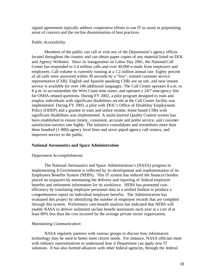signed agreements typically address cooperative efforts to use IT to assist in pinpointing areas of concern and the on-line dissemination of best practices.

#### *Public Accessibility*

Members of the public can call or visit any of the Department's agency offices located throughout the country and can obtain paper copies of any material listed on DOL and Agency Websites. Since its inauguration on Labor Day 2001, the National Call Center has responded to 2.4 million calls and over 40,000 e-mails from employers and employees. Call volume is currently running at a 1.2 million annual rate. Eighty percent of all calls were answered within 30 seconds by a "live", trained customer service representative (CSR). English and Spanish speaking CSRs are on site, and near instant service is available for over 140 additional languages. The Call Center operates 8 a.m. to 8 p.m. to accommodate the West Coast time zones, and operates a 24/7 eme rgency line for OSHA-related questions. During FY 2002, a pilot program designed to train and employ individuals with significant disabilities on-site at the Call Center facility was implemented. During FY 2003, a pilot with DOL's Office of Disability Employment Policy (ODEP) and a grantee to train and utilize remote, home based CSRs with significant disabilities was implemented. A multi-layered Quality Control system has been established to ensure timely, consistent, accurate and polite service, and customer satisfaction surveys rate highly. The initiative consolidates and streamlines more than three hundred (1-800) agency level lines and stove-piped agency call centers, and improves service to the public.

### **National Aeronautics and Space Administration**

#### *Department Accomplishments*

The National Aeronautics and Space Administration's (NASA) progress in implementing E-Government is reflected by its development and implementation of its Employees Benefits System (NEBS). This IT system has reduced the financia l burden placed on taxpayers by automating the delivery and reporting of federal employee benefits and retirement information for its workforce. NEBS has promoted costefficiency by translating employee personnel data in a unified fashion to produce a comprehensive report on individual employee benefits. The Administration has evaluated this project by identifying the number of employee records that are compiled through this system. Preliminary cost-benefit analysis has indicated that NEBS will enable NASA to deliver unlimited on-line benefit statements each year at a cost of at least 80% less than the cost incurred by the average private sector organization.

## *Maintaining Communication*

NASA regularly partners with various groups to discuss how information technology may be used to better meet citizen needs. For instance, NASA officials meet with industry representatives to understand how it Department can apply new IT solutions. It has also formed alliances with other federal agencies, through the federal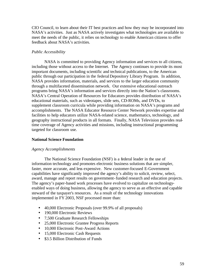CIO Council, to learn about their IT best practices and how they may be incorporated into NASA's activities. Just as NASA actively investigates what technologies are available to meet the needs of the public, it relies on technology to enable American citizens to offer feedback about NASA's activities.

# *Public Accessibility*

NASA is committed to providing Agency information and services to all citizens, including those without access to the Internet. The Agency continues to provide its most important documents, including scientific and technical publications, to the American public through our participation in the federal Depository Library Program. In addition, NASA provides information, materials, and services to the larger education community through a multifaceted dissemination network. Our extensive educational outreach programs bring NASA's information and services directly into the Nation's classrooms. NASA's Central Operation of Resources for Educators provides distribution of NASA's educational materials, such as videotapes, slide sets, CD-ROMs, and DVDs, to supplement classroom curricula while providing information on NASA's programs and accomplishments. The NASA Educator Resource Center Network provides expertise and facilities to help educators utilize NASA-related science, mathematics, technology, and geography instructional products in all formats. Finally, NASA Television provides realtime coverage of Agency activities and missions, including instructional programming targeted for classroom use.

## **National Science Foundation**

## *Agency Accomplishments*

The National Science Foundation (NSF) is a federal leader in the use of information technology and promotes electronic business solutions that are simpler, faster, more accurate, and less expensive. New customer-focused E-Government capabilities have significantly improved the agency's ability to solicit, review, select, award, manage and report results on government-funded research and education projects. The agency's paper-based work processes have evolved to capitalize on technologyenabled ways of doing business, allowing the agency to serve as an effective and capable steward of the taxpayer's resources. As a result of the technology innovations implemented in FY 2003, NSF processed more than:

- 40,000 Electronic Proposals (over 99.9% of all proposals)
- 190,000 Electronic Reviews
- 7,500 Graduate Research Fellowships
- 25,000 Electronic Grantee Progress Reports
- 10,000 Electronic Post-Award Actions
- 15,000 Electronic Cash Requests
- \$3.5 Billion Distribution of Funds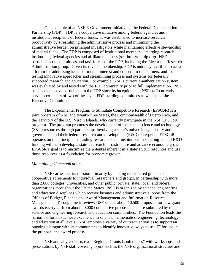One example of an NSF E-Government initiative is the Federal Demonstration Partnership (FDP). FDP is a cooperative initiative among federal agencies and institutional recipients of federal funds. It was established to increase research productivity by streamlining the administrative process and minimizing the administrative burden on principal investigators while maintaining effective stewardship of federal funds. The FDP is composed of institutional members, emerging research institutions, federal agencies and affiliate members (see http://thefdp.org). NSF participates on committees and task forces of the FDP, including the Electronic Research Administration group. Given its diverse membership, FDP is uniquely qualified to act as a forum for addressing issues of mutual interest and concern to the partners, and for testing innovative approaches and streamlining process and systems for federally supported research and education. For example, NSF's current e-authentication system was evaluated by and tested with the FDP community prior to full implementation. NSF has been an active participant in the FDP since its inception, and NSF staff currently serve as co-chairs of two of the seven FDP standing committees as well as on the Executive Committee.

The Experimental Program to Stimulate Competitive Research (EPSCoR) is a joint program of NSF and twenty-three States, the Commonwealth of Puerto Rico, and the Territory of the U.S. Virgin Islands, who currently participate in the NSF EPSCoR program. The program promotes the development of the state's science and technology (S&T) resources through partnerships involving a state's universities, industry and government and their federal research and development (R&D) enterprise. EPSCoR operates on the principle that aiding researchers and institutions in securing federal R&D funding will help develop a state's research infrastructure and advance economic growth. EPSCoR's goal is to maximize the potential inherent in a state's S&T resources and use those resources as a foundation for economic growth.

#### *Maintaining Communication*

NSF carries out its mission primarily by making merit-based grants and cooperative agreements to individual researchers and groups, in partnership with more than 2,000 colleges, universities, and other public, private, state, local, and federal organizations throughout the United States. NSF is organized by science, engineering, and education disciplines which receive business and administrative support from the Offices of Budget, Finance and Award Management and Information Resource Management. Through merit review, NSF selects about 10,500 proposals for new grant awards each year from about 40,000 competitive proposals that are submitted by the science and engineering research and education communities. The Foundation leads the nation's efforts to achieve excellence in science, mathematics, engineering, technology and education at all levels. NSF employs a variety of outreach activities to support an ongoing dialogue with its communities to identify innovative ways to use IT for use in the proposal and award process.

NSF annually co-hosts two "Regional Grants Conferences" with workshops and presentations by NSF staff covering topics such as the NSF organizational structure and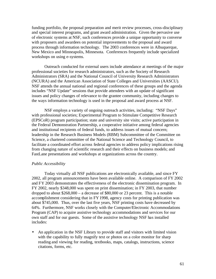funding portfolio, the proposal preparation and merit review processes, cross-disciplinary and special interest programs, and grant award administration. Given the pervasive use of electronic systems at NSF, such conferences provide a unique opportunity to converse with proposers and awardees on potential improvements to the proposal and award process through information technology. The 2003 conferences were in Albuquerque, New Mexico and Minneapolis, Minnesota. Conferences frequently include specialized workshops on using e-systems.

Outreach conducted for external users include attendance at meetings of the major professional societies for research administrators, such as the Society of Research Administrators (SRA) and the National Council of University Research Administrators (NCURA) and the American Association of State Colleges and Universities (AASCU). NSF attends the annual national and regional conferences of these groups and the agenda includes "NSF Update" sessions that provide attendees with an update of significant issues and policy changes of relevance to the grantee community, including changes to the ways information technology is used in the proposal and award process at NSF.

NSF employs a variety of ongoing outreach activities, including: "NSF Days" with professional societies; Experimental Program to Stimulate Competitive Research (EPSCoR) program participation; state and university site visits; active participation in the Federal Demonstration Partnership, a cooperative initiative among federal agencies and institutional recipients of federal funds, to address issues of mutual concern; leadership in the Research Business Models (RBM) Subcommittee of the Committee on Science, a chartered committee of the National Science and Technology Council, to facilitate a coordinated effort across federal agencies to address policy implications rising from changing nature of scientific research and their effects on business models; and FastLane presentations and workshops at organizations across the country.

## *Public Accessibility*

Today virtually all NSF publications are electronically available, and since FY 2002, all program announcements have been available online. A comparison of FY 2002 and FY 2003 demonstrates the effectiveness of the electronic dissemination program. In FY 2002, nearly \$348,000 was spent on print dissemination; in FY 2003, that number dropped to about \$268,000 – a decrease of \$80,000 or 23 percent. This is a notable accomplishment considering that in FY1998, agency costs for printing publication was about \$745,000. Thus, over the last five years, NSF printing costs have decreased by 64%. Furthermore, NSF works closely with the Computer/Electronic Accommodations Program (CAP) to acquire assistive technology accommodations and services for our own staff and for our guests. Some of the assistive technology NSF has installed includes:

• An application in the NSF Library to provide staff and visitors with limited vision with the capability to fully magnify text or photos on a color monitor for sharp reading and viewing for reading, textbooks, maps, catalogs, instructions, science citations, forms, etc.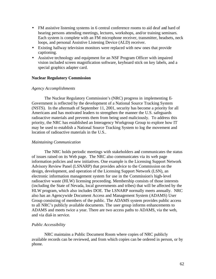- FM assistive listening systems in 6 central conference rooms to aid deaf and hard of hearing persons attending meetings, lectures, workshops, and/or training seminars. Each system is complete with an FM microphone receiver, transmitter, headsets, neck loops, and personal Assistive Listening Device (ALD) receiver.
- Existing hallway television monitors were replaced with new ones that provide captioning.
- Assistive technology and equipment for an NSF Program Officer with impaired vision included screen magnification software, keyboard stick on key labels, and a special graphics adapter card.

## **Nuclear Regulatory Commission**

## *Agency Accomplishments*

The Nuclear Regulatory Commission's (NRC) progress in implementing E-Government is reflected by the development of a National Source Tracking System (NSTS). In the aftermath of September 11, 2001, security has become a priority for all Americans and has motivated leaders to strengthen the manner the U.S. safeguards radioactive materials and prevents them from being used maliciously. To address this priority, the NRC has established an Interagency Workgroup Group to explore how IT may be used to establish a National Source Tracking System to log the movement and location of radioactive materials in the U.S..

## *Maintaining Communication*

The NRC holds periodic meetings with stakeholders and communicates the status of issues raised on its Web page. The NRC also communicates via its web page information policies and new initiatives. One example is the Licensing Support Network Advisory Review Panel (LSNARP) that provides advice to the Commission on the design, development, and operation of the Licensing Support Network (LSN), an electronic information management system for use in the Commission's high-level radioactive waste (HLW) licensing proceeding. Membership consists of those interests (including the State of Nevada, local governments and tribes) that will be affected by the HLW program, which also includes DOE. The LSNARP normally meets annually. NRC also has an Agencywide Document Access and Management System (ADAMS) User Group consisting of members of the public. The ADAMS system provides public access to all NRC's publicly available documents. The user group informs enhancements to ADAMS and meets twice a year. There are two access paths to ADAMS, via the web, and via dial-in service.

## *Public Accessibility*

NRC maintains a Public Document Room where copies of NRC publicly available records can be reviewed, and from which copies can be ordered in person, or by phone.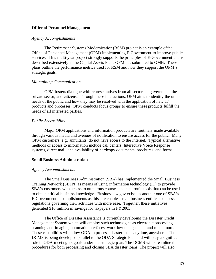## **Office of Personnel Management**

## *Agency Accomplishments*

The Retirement Systems Modernization (RSM) project is an example of the Office of Personnel Management (OPM) implementing E-Government to improve public services. This multi-year project strongly supports the principles of E-Government and is described extensively in the Capital Assets Plans OPM has submitted to OMB. These plans outline the performance metrics used for RSM and how they support the OPM's strategic goals.

## *Maintaining Communication*

OPM fosters dialogue with representatives from all sectors of government, the private sector, and citizens. Through these interactions, OPM aims to identify the unmet needs of the public and how they may be resolved with the application of new IT products and processes. OPM conducts focus groups to ensure these products fulfill the needs of all interested parties.

## *Public Accessibility*

Major OPM applications and information products are routinely made available through various media and avenues of notification to ensure access for the public. Many OPM customers, e.g., annuitants, do not have access to the Internet. Typical alternative methods of access to information include call centers, Interactive Voice Response systems, direct mail, and availability of hardcopy documents, brochures, and forms.

## **Small Business Administration**

## *Agency Accomplishments*

The Small Business Administration (SBA) has implemented the Small Business Training Network (SBTN) as means of using information technology (IT) to provide SBA's customers with access to numerous courses and electronic tools that can be used to obtain critical business knowledge. Businesslaw.gov exists as another one of SBA's E-Government accomplishments as this site enables small business entities to access regulations governing their activities with more ease. Together, these initiatives generated \$10 million in savings for taxpayers in FY2003.

The Office of Disaster Assistance is currently developing the Disaster Credit Management System which will employ such technologies as electronic processing, scanning and imaging, automatic interfaces, workflow management and much more. These capabilities will allow ODA to process disaster loans anytime, anywhere. The DCMS is being developed parallel to the ODA Strategic Plan and will play a significant role in ODA meeting its goals under the strategic plan. The DCMS will streamline the procedures for both processing and closing SBA disaster loans. The project will also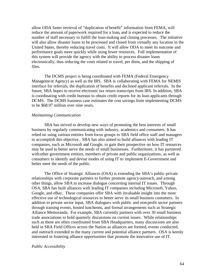allow ODA faster retrieval of "duplication of benefit" information from FEMA, will reduce the amount of paperwork required for a loan, and is expected to reduce the number of staff necessary to fulfill the loan-making and closing processes. The initiative will also allow disaster loans to be processed and closed from virtually any location in the United States, thereby reducing travel costs. It will allow ODA to meet its outcome and performance goals more quickly while using fewer resources. Full implementation of this system will provide the agency with the ability to process disaster loans electronically, thus reducing the costs related to travel, per diem, and the shipping of files.

The DCMS project is being coordinated with FEMA (Federal Emergency Management Agency) as well as the IRS. SBA is collaborating with FEMA for NEMIS interface for referrals, the duplication of benefits and declined applicant referrals. In the future, SBA hopes to receive electronic tax return transcripts from IRS. In addition, SBA is coordinating with credit bureaus to obtain credit reports for its loan applicants through DCMS. The DCMS business case estimates the cost savings from implementing DCMS to be \$68.97 million over nine years.

#### *Maintaining Communication*

SBA has strived to develop new ways of promoting the best interests of small business by regularly communicating with industry, academics and consumers. It has relied on using various entities from focus groups to SBA field office staff and managers to accomplish this objective. SBA has also aimed to build alliances with leading IT companies, such as Microsoft and Google, to gain their prospective on how IT resources may be used to better serve the needs of small businesses. Furthermore, it has partnered with other government entities, members of private and public organizations, as well as consumers to identify and devise modes of using IT to implement E-Government and better meet the needs of the public.

The Office of Strategic Alliances (OSA) is extending the SBA's public-private relationships with corporate partners to further promote agency outreach, and among other things, allow SBA to increase dialogue concerning internal IT issues. Through OSA, SBA has built alliances with leading IT companies including Microsoft, Yahoo, Google, and eBay. These companies offer SBA with invaluable insight into the most effective use of technological resources to better serve its small business customers. In addition to private sector input, SBA dialogues with public and non-profit sector partners through training events, hosted luncheons, and formal arrangements such as Strategic Alliance Memoranda. For example, SBA currently partners with over 30 small business trade associations to hold quarterly discussions on current issues. While relationships such as these are often coordinated from SBA Headquarters, many discussions are also held in SBA Field Offices across the Nation as alliances are formed, events conducted, and outreach extended to the many current and potential alliance partners. OSA is keenly interested in fostering alliance opportunities that promote the innovative use of IT.

#### *Public Accessibility*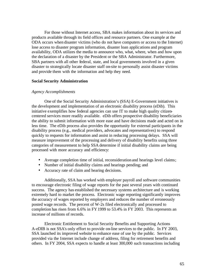For those without Internet access, SBA makes information about its services and products available through its field offices and resource partners. One example at the ODA occurs when disaster victims (who do not have computers or access to the Internet) lose access to disaster program information, disaster loan applications and program availability, ODA utilizes the media to announce who, what, where, when and how upon the declaration of a disaster by the President or the SBA Administrator. Furthermore, SBA partners with all other federal, state, and local governments involved in a given disaster to strategically locate disaster staff on-site to personally assist disaster victims and provide them with the information and help they need.

#### **Social Security Administration**

## *Agency Accomplishments*

One of the Social Security Administration's (SSA) E-Government initiatives is the development and implementation of an electronic disability process (eDib). This initiative exemplifies how federal agencies can use IT to make high quality citizencentered services more readily available. eDib offers prospective disability beneficiaries the ability to submit information with more ease and have decisions made and acted on in less time. The eDib process also provides the opportunity for external participants in the disability process (e.g., medical providers, advocates and representatives) to respond quickly to requests for information and assist in reducing processing delays. SSA will measure improvement of the processing and delivery of disability benefits using three categories of measurement to help SSA determine if initial disability claims are being processed with more accuracy and efficiency:

- Average completion time of initial, reconsideration and hearings level claims;
- Number of initial disability claims and hearings pending; and
- Accuracy rate of claim and hearing decisions.

Additionally, SSA has worked with employer payroll and software communities to encourage electronic filing of wage reports for the past several years with continued success. The agency has established the necessary systems architecture and is working extremely hard to market the process. Electronic wage reporting significantly improves the accuracy of wages reported by employers and reduces the number of erroneously posted wage records. The percent of W-2s filed electronically and processed to completion has risen from 6.6% in FY 1999 to 53.4% in FY 2003. This represents an increase of millions of records.

Electronic Entitlement to Social Security Benefits and Supporting Actions A-eDIB is not SSA's only effort to provide on-line services to the public. In FY 2003, SSA launched its improved website to enhance ease of use by the public. Services provided via the Internet include change of address, filing for retirement benefits and others. In FY 2004, SSA expects to handle at least 300,000 such transactions including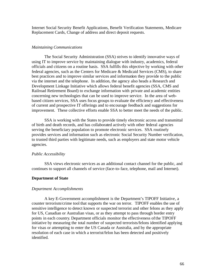Internet Social Security Benefit Applications, Benefit Verification Statements, Medicare Replacement Cards, Change of address and direct deposit requests.

### *Maintaining Communications*

The Social Security Administration (SSA) strives to identify innovative ways of using IT to improve service by maintaining dialogue with industry, academics, federal officials and citizens on a routine basis. SSA fulfills this objective by working with other federal agencies, such as the Centers for Medicare & Medicaid Services (CMS), to share best practices and to improve similar services and information they provide to the public via the internet and the telephone. In addition, the agency also heads a Research and Development Linkage Initiative which allows federal benefit agencies (SSA, CMS and Railroad Retirement Board) to exchange information with private and academic entities concerning new technologies that can be used to improve service. In the area of webbased citizen services, SSA uses focus groups to evaluate the efficiency and effectiveness of current and prospective IT offerings and to encourage feedback and suggestions for improvement. These collective efforts enable SSA to better meet the needs of the public.

SSA is working with the States to provide timely electronic access and transmittal of birth and death records, and has collaborated actively with other federal agencies serving the beneficiary population to promote electronic services. SSA routinely provides services and information such as electronic Social Security Number verification, to trusted third parties with legitimate needs, such as employers and state motor vehicle agencies.

#### *Public Accessibility*

SSA views electronic services as an additional contact channel for the public, and continues to support all channels of service (face-to-face, telephone, mail and Internet).

## **Department of State**

#### *Department Accomplishments*

A key E-Government accomplishment is the Department's TIPOFF Initiative, a counter terrorism/crime tool that supports the war on terror. TIPOFF enables the use of sensitive intelligence to detect known or suspected terrorist and other felons as they apply for US, Canadian or Australian visas, or as they attempt to pass through border entry points in each country. Department officials monitor the effectiveness ofthe TIPOFF initiative by measuring the total number of suspected terrorists/felons identified applying for visas or attempting to enter the US Canada or Australia, and by the appropriate resolution of each case in which a terrorist/felon has been detected and positively identified.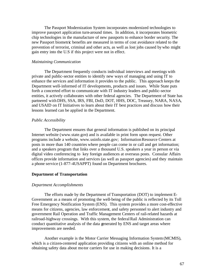The Passport Modernization System incorporates modernized technologies to improve passport application turn-around times. In addition, it incorporates biometric chip technologies in the manufacture of new passports to enhance border security. The new Passport biometric benefits are measured in terms of cost avoidance related to the prevention of terrorist, criminal and other acts, as well as lost jobs caused by who might gain entry into the U.S if this project were not in effect.

## *Maintaining Communication*

The Department frequently conducts individual interviews and meetings with private and public-sector entities to identify new ways of managing and using IT to enhance the services and information it provides to the public. This approach keeps the Department well-informed of IT developments, products and issues. While State puts forth a concerted effort to communicate with IT industry leaders and public-sector entities, it actively collaborates with other federal agencies. The Department of State has partnered with DHS, SSA, IRS, FBI, DoD, DOT, HHS, DOC, Treasury, NARA, NASA, and USAID on IT Initiatives to learn about their IT best practices and discuss how their lessons learned can be applied in the Department.

#### *Public Accessibility*

The Department ensures that general information is published on its principal Internet website (www.state.gov) and is available in print form upon request. Other programs include a website, www.usinfo.state.gov; Information Resource Centers at posts in more than 140 countries where people can come in or call and get information; and a speakers program that links over a thousand U.S. speakers a year in person or via digital video conferencing to key foreign audiences at overseas posts. Consular Affairs offices provide information and services (as well as passport agencies) and they maintain a phone service (1-877-4USAPPT) found on Department brochures.

## **Department of Transportation**

#### *Department Accomplishments*

The efforts made by the Department of Transportation (DOT) to implement E-Government as a means of promoting the well-being of the public is reflected by its Toll Free Emergency Notification System (ENS). This system provides a more cost-effective means for citizens, agencies, law enforcement, and safety personnel to alert industry and government Rail Operation and Traffic Management Centers of rail-related hazards at railroad-highway crossings. With this system, the federal Rail Administration can conduct quantitative analysis of the data generated by ENS and target areas where improvements are needed.

Another example is the Motor Carrier Messaging Information System (MCMIS), which is a citizen-centered application providing citizens with an online method for obtaining safety data about motor carriers for use in making decisions. It is a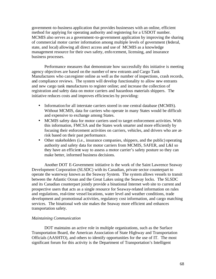government-to-business application that provides businesses with an online, efficient method for applying for operating authority and registering for a USDOT number. MCMIS also serves as a government-to-government application by improving the sharing of commercial motor carrier information among multiple levels of government (federal, state, and local) allowing all direct access and use of MCMIS as a knowledge management resource for their own safety, enforcement, licensing, and insurance business processes.

Performance measures that demonstrate how successfully this initiative is meeting agency objectives are based on the number of new entrants and Cargo Tank Manufactures who can register online as well as the number of inspections, crash records, and compliance reviews. The system will develop functionality to allow new entrants and new cargo tank manufactures to register online; and increase the collection of registration and safety data on motor carriers and hazardous materials shippers. The initiative reduces costs and improves efficiencies by providing:

- Information for all interstate carriers stored in one central database (MCMIS). Without MCMIS, data for carriers who operate in many States would be difficult and expensive to exchange among States.
- MCMIS safety data for motor carriers used to target enforcement activities. With this information, FMCSA and the States work smarter and more efficiently by focusing their enforcement activities on carriers, vehicles, and drivers who are atrisk based on their past performance.
- Other stakeholders (i.e., insurance companies, shippers, and the public) operating authority and safety data for motor carriers from MCMIS, SAFER, and L&I so they have an efficient way to assess a motor carrier's safety posture so they can make better, informed business decisions.

Another DOT E-Government initiative is the work of the Saint Lawrence Seaway Development Corporation (SLSDC) with its Canadian, private sector counterpart to operate the waterway known as the Seaway System. The system allows vessels to transit between the Atlantic Ocean and the Great Lakes using the Seaway locks. The SLSDC and its Canadian counterpart jointly provide a binational Internet web site to current and prospective users that acts as a single resource for Seaway-related information on rules and regulations, real-time vessel locations, water level and weather conditions, trade development and promotional activities, regulatory cost information, and cargo matching services. The binational web site makes the Seaway more efficient and enhances transportation safety.

## *Maintaining Communication*

DOT maintains an active role in multiple organizations, such as the Surface Transportation Board, the American Association of State Highway and Transportation Officials (AASHTO), and others to identify opportunities for the use of IT. The most significant forum for this activity is the Department of Transportation's Intelligent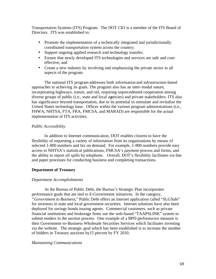Transportation Systems (ITS) Program. The DOT CIO is a member of the ITS Board of Directors. ITS was established to:

- Promote the implementation of a technically integrated and jurisdictionally coordinated transportation system across the country;
- Support ongoing applied research and technology transfer;
- Ensure that newly developed ITS technologies and services are safe and costeffective; and
- Create a new industry by involving and emphasizing the private sector in all aspects of the program.

The national ITS program addresses both information and infrastructure-based approaches to achieving its goals. The program also has an inter-modal nature, incorporating highways, transit, and rail, requiring unprecedented cooperation among diverse groups of public (i.e., state and local agencies) and private stakeholders. ITS also has significance beyond transportation, due to its potential to stimulate and revitalize the United States technology base. Offices within the various program administrations (i.e., FHWA, NHTSA, FTA, FRA, FMCSA, and MARAD) are responsible for the actual implementation of ITS activities.

# *Public Accessibility*

In addition to Internet communication, DOT enables citizens to have the flexibility of requesting a variety of information from its organizations by means of selected 1-800 numbers and fax on demand. For example, 1-800 numbers provide easy access to NHTSA's statistical publications, FMCSA's payment process and forms, and the ability to report oil spills by telephone. Overall, DOT's flexibility facilitates on-line and paper processes for conducting business and completing transactions*.*

# **Department of Treasury**

# *Department Accomplishments*

At the Bureau of Public Debt, the Bureau's Strategic Plan incorporates performance goals that are tied to E-Government initiatives. In the category, *"Government to Business*," Public Debt offers an internet application called "SLGSafe" for investors in state and local government securities. Internet solutions have also been deployed for savings bonds issuing agents. Commercial customers, such as private financial institutions and brokerage firms use the web-based "TAAPSLINK" system to submit tenders in the auction process. One example of a BPD performance measure is their Government-to-Business Wholesale Securities Services which facilitates investing via the website. The strategic goal which has been established is to increase the number of bidders in Treasury auctions by15 percent by FY 2010.

## *Maintaining Communications*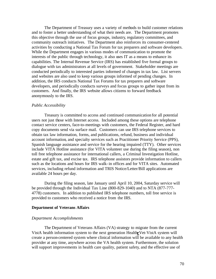The Department of Treasury uses a variety of methods to build customer relations and to foster a better understanding of what their needs are. The Department promotes this objective through the use of focus groups, industry, regulatory committees, and community outreach initiatives. The Department also reinforces its consumer-centered activities by conducting a National Tax Forum for tax preparers and software developers. While the Department engages in various modes of communication to promote the interests of the public through technology, it also uses IT as a means to enhance its capabilities. The Internal Revenue Service (IRS) has established five formal groups to dialogue with tax administrators at all levels of government. Stakeholder meetings are conducted periodically to interested parties informed of changes in tax law. List servers and websites are also used to keep various groups informed of pending changes. In addition, the IRS conducts National Tax Forums for tax preparers and software developers, and periodically conducts surveys and focus groups to gather input from its customers. And finally, the IRS website allows citizens to forward feedback anonymously to the IRS.

#### *Public Accessibility*

Treasury is committed to access and continued communication for all potential users not just those with Internet access. Included among these options are telephone contact service centers, face-to-meetings with customers, the Federal Register, and hard copy documents send via surface mail. Customers can use IRS telephone services to obtain tax law information, forms, and publications, refund, business and individual account information, and specialty services such as Practitioner Priority Service (PPS), Spanish language assistance and service for the hearing impaired (TTY). Other services include VITA Hotline assistance (for VITA volunteer use during the filing season), non toll free telephone assistance for international callers, a Criminal Investigation Hotline, estate and gift tax, and excise tax. IRS telephone assistors provide information to callers such as the locations and hours for IRS walk-in offices and for VITA sites. Automated services, including refund information and TRIS Notice/Letter/Bill applications are available 24 hours per day.

During the filing season, late January until April 10, 2004, Saturday service will be provided through the Individual Tax Line (800-829-1040) and to NTA (877-777- 4778) customers. In addition to published IRS telephone numbers, toll free service is provided to customers who received a notice from the IRS.

#### **Department of Veterans Affairs**

#### *Department Accomplishments*

The Department of Veterans Affairs (VA) strategy to migrate from the current VistA health information system to the next generation Health*e*Vet-VistA system will create a person-centered system where clinical information will be available to any health provider at any time, anywhere across the VA health system. Furthermore, the solution will support improvements in health care quality, patient safety, and the effective use of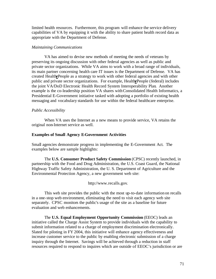limited health resources. Furthermore, this program will enhance the service delivery capabilities of VA by equipping it with the ability to share patient health record data as appropriate with the Department of Defense.

## *Maintaining Communications*

VA has aimed to devise new methods of meeting the needs of veterans by preserving its ongoing discussion with other federal agencies as well as public and private sector organizations. While VA aims to work with a broad range of individuals, its main partner concerning health care IT issues is the Department of Defense. VA has created Health*e*People as a strategy to work with other federal agencies and with other public and private sector organizations. For example, Health*e*People (federal) includes the joint VA/DoD Electronic Health Record System Interoperability Plan. Another example is the co-leadership position VA shares withConsolidated Health Informatics, a Presidential E-Government initiative tasked with adopting a portfolio of existing health messaging and vocabulary standards for use within the federal healthcare enterprise.

## *Public Accessibility*

When VA uses the Internet as a new means to provide service, VA retains the original non-Internet service as well.

## **Examples of Small Agency E-Government Activities**

Small agencies demonstrate progress in implementing the E-Government Act. The examples below are sample highlights:

The **U.S. Consumer Product Safety Commission** (CPSC) recently launched, in partnership with the Food and Drug Administration, the U.S. Coast Guard, the National Highway Traffic Safety Administration, the U. S. Department of Agriculture and the Environmental Protection Agency, a new government web site:

http://www.recalls.gov.

This web site provides the public with the most up-to-date information on recalls in a one-stop web environment, eliminating the need to visit each agency web site separately. CPSC monitors the public's usage of the site as a baseline for future evaluation and web enhancements.

The **U.S. Equal Employment Opportunity Commission** (EEOC) leads an initiative called the Charge Assist System to provide individuals with the capability to submit information related to a charge of employment discrimination electronically. Slated for piloting in FY 2004, this initiative will enhance agency effectiveness and increase customer service to the public by enabling electronic submission of a charge inquiry through the Internet. Savings will be achieved through a reduction in staff resources required to respond to inquires which are outside of EEOC's jurisdiction or are